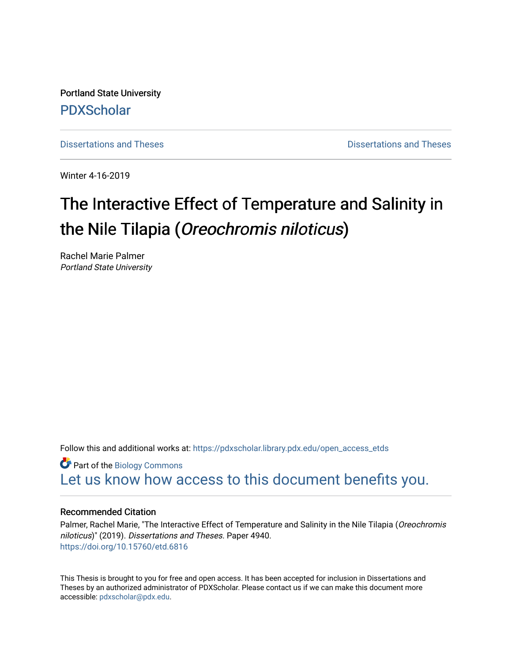Portland State University [PDXScholar](https://pdxscholar.library.pdx.edu/)

[Dissertations and Theses](https://pdxscholar.library.pdx.edu/open_access_etds) **Dissertations** and Theses **Dissertations and Theses** 

Winter 4-16-2019

# The Interactive Effect of Temperature and Salinity in the Nile Tilapia (Oreochromis niloticus)

Rachel Marie Palmer Portland State University

Follow this and additional works at: [https://pdxscholar.library.pdx.edu/open\\_access\\_etds](https://pdxscholar.library.pdx.edu/open_access_etds?utm_source=pdxscholar.library.pdx.edu%2Fopen_access_etds%2F4940&utm_medium=PDF&utm_campaign=PDFCoverPages)

Part of the [Biology Commons](http://network.bepress.com/hgg/discipline/41?utm_source=pdxscholar.library.pdx.edu%2Fopen_access_etds%2F4940&utm_medium=PDF&utm_campaign=PDFCoverPages)  [Let us know how access to this document benefits you.](http://library.pdx.edu/services/pdxscholar-services/pdxscholar-feedback/) 

#### Recommended Citation

Palmer, Rachel Marie, "The Interactive Effect of Temperature and Salinity in the Nile Tilapia (Oreochromis niloticus)" (2019). Dissertations and Theses. Paper 4940. <https://doi.org/10.15760/etd.6816>

This Thesis is brought to you for free and open access. It has been accepted for inclusion in Dissertations and Theses by an authorized administrator of PDXScholar. Please contact us if we can make this document more accessible: [pdxscholar@pdx.edu.](mailto:pdxscholar@pdx.edu)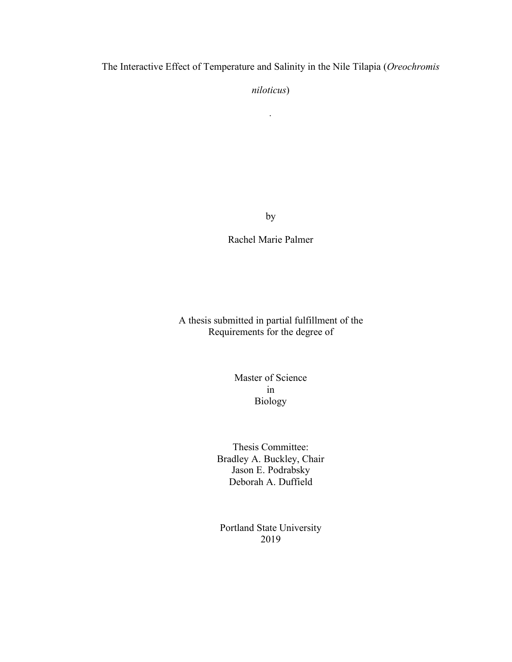The Interactive Effect of Temperature and Salinity in the Nile Tilapia (*Oreochromis* 

*niloticus*)

*.*

by

Rachel Marie Palmer

A thesis submitted in partial fulfillment of the Requirements for the degree of

> Master of Science in Biology

Thesis Committee: Bradley A. Buckley, Chair Jason E. Podrabsky Deborah A. Duffield

Portland State University 2019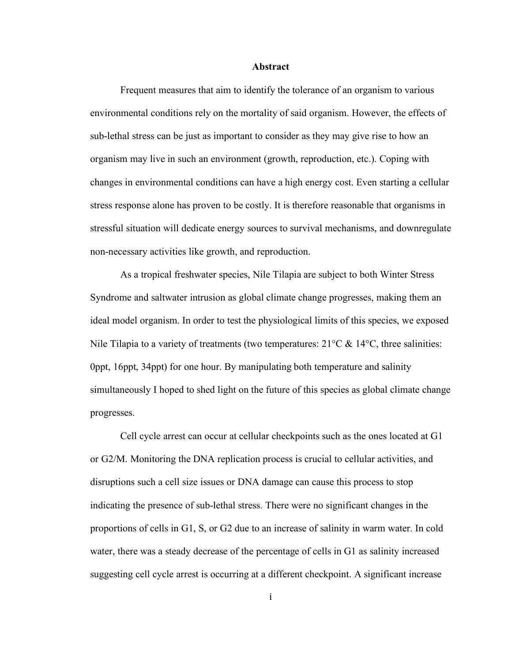#### **Abstract**

Frequent measures that aim to identify the tolerance of an organism to various environmental conditions rely on the mortality of said organism. However, the effects of sub-lethal stress can be just as important to consider as they may give rise to how an organism may live in such an environment (growth, reproduction, etc.). Coping with changes in environmental conditions can have a high energy cost. Even starting a cellular stress response alone has proven to be costly. It is therefore reasonable that organisms in stressful situation will dedicate energy sources to survival mechanisms, and downregulate non-necessary activities like growth, and reproduction.

As a tropical freshwater species, Nile Tilapia are subject to both Winter Stress Syndrome and saltwater intrusion as global climate change progresses, making them an ideal model organism. In order to test the physiological limits of this species, we exposed Nile Tilapia to a variety of treatments (two temperatures:  $21^{\circ}$ C &  $14^{\circ}$ C, three salinities: 0ppt, 16ppt, 34ppt) for one hour. By manipulating both temperature and salinity simultaneously I hoped to shed light on the future of this species as global climate change progresses.

Cell cycle arrest can occur at cellular checkpoints such as the ones located at G1 or G2/M. Monitoring the DNA replication process is crucial to cellular activities, and disruptions such a cell size issues or DNA damage can cause this process to stop indicating the presence of sub-lethal stress. There were no significant changes in the proportions of cells in G1, S, or G2 due to an increase of salinity in warm water. In cold water, there was a steady decrease of the percentage of cells in G1 as salinity increased suggesting cell cycle arrest is occurring at a different checkpoint. A significant increase

i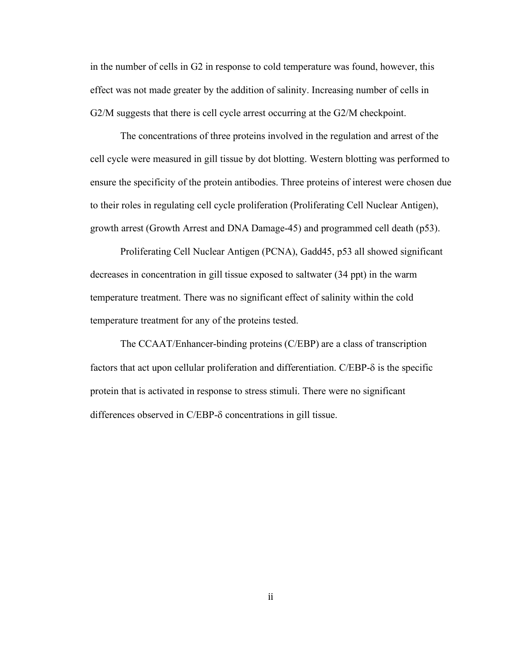in the number of cells in G2 in response to cold temperature was found, however, this effect was not made greater by the addition of salinity. Increasing number of cells in G2/M suggests that there is cell cycle arrest occurring at the G2/M checkpoint.

The concentrations of three proteins involved in the regulation and arrest of the cell cycle were measured in gill tissue by dot blotting. Western blotting was performed to ensure the specificity of the protein antibodies. Three proteins of interest were chosen due to their roles in regulating cell cycle proliferation (Proliferating Cell Nuclear Antigen), growth arrest (Growth Arrest and DNA Damage-45) and programmed cell death (p53).

Proliferating Cell Nuclear Antigen (PCNA), Gadd45, p53 all showed significant decreases in concentration in gill tissue exposed to saltwater (34 ppt) in the warm temperature treatment. There was no significant effect of salinity within the cold temperature treatment for any of the proteins tested.

The CCAAT/Enhancer-binding proteins (C/EBP) are a class of transcription factors that act upon cellular proliferation and differentiation.  $C/EBP-\delta$  is the specific protein that is activated in response to stress stimuli. There were no significant differences observed in  $C/EBP-\delta$  concentrations in gill tissue.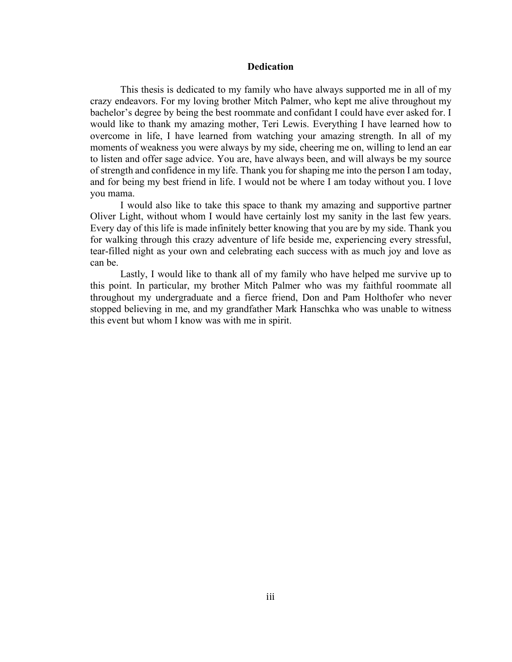#### **Dedication**

This thesis is dedicated to my family who have always supported me in all of my crazy endeavors. For my loving brother Mitch Palmer, who kept me alive throughout my bachelor's degree by being the best roommate and confidant I could have ever asked for. I would like to thank my amazing mother, Teri Lewis. Everything I have learned how to overcome in life, I have learned from watching your amazing strength. In all of my moments of weakness you were always by my side, cheering me on, willing to lend an ear to listen and offer sage advice. You are, have always been, and will always be my source of strength and confidence in my life. Thank you for shaping me into the person I am today, and for being my best friend in life. I would not be where I am today without you. I love you mama.

I would also like to take this space to thank my amazing and supportive partner Oliver Light, without whom I would have certainly lost my sanity in the last few years. Every day of this life is made infinitely better knowing that you are by my side. Thank you for walking through this crazy adventure of life beside me, experiencing every stressful, tear-filled night as your own and celebrating each success with as much joy and love as can be.

Lastly, I would like to thank all of my family who have helped me survive up to this point. In particular, my brother Mitch Palmer who was my faithful roommate all throughout my undergraduate and a fierce friend, Don and Pam Holthofer who never stopped believing in me, and my grandfather Mark Hanschka who was unable to witness this event but whom I know was with me in spirit.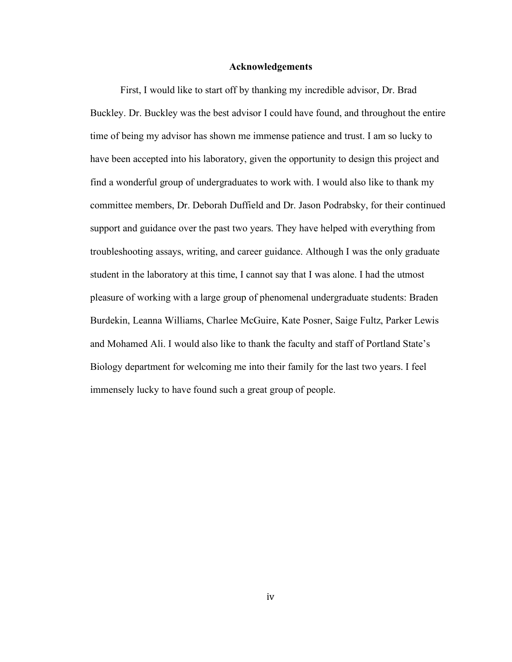#### **Acknowledgements**

First, I would like to start off by thanking my incredible advisor, Dr. Brad Buckley. Dr. Buckley was the best advisor I could have found, and throughout the entire time of being my advisor has shown me immense patience and trust. I am so lucky to have been accepted into his laboratory, given the opportunity to design this project and find a wonderful group of undergraduates to work with. I would also like to thank my committee members, Dr. Deborah Duffield and Dr. Jason Podrabsky, for their continued support and guidance over the past two years. They have helped with everything from troubleshooting assays, writing, and career guidance. Although I was the only graduate student in the laboratory at this time, I cannot say that I was alone. I had the utmost pleasure of working with a large group of phenomenal undergraduate students: Braden Burdekin, Leanna Williams, Charlee McGuire, Kate Posner, Saige Fultz, Parker Lewis and Mohamed Ali. I would also like to thank the faculty and staff of Portland State's Biology department for welcoming me into their family for the last two years. I feel immensely lucky to have found such a great group of people.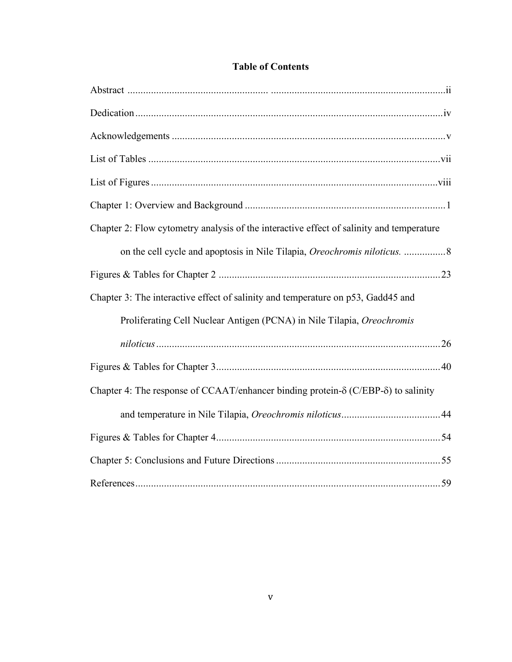| <b>Table of Contents</b> |  |
|--------------------------|--|
|--------------------------|--|

| Chapter 2: Flow cytometry analysis of the interactive effect of salinity and temperature           |  |
|----------------------------------------------------------------------------------------------------|--|
| on the cell cycle and apoptosis in Nile Tilapia, Oreochromis niloticus. 8                          |  |
|                                                                                                    |  |
| Chapter 3: The interactive effect of salinity and temperature on p53, Gadd45 and                   |  |
| Proliferating Cell Nuclear Antigen (PCNA) in Nile Tilapia, Oreochromis                             |  |
|                                                                                                    |  |
|                                                                                                    |  |
| Chapter 4: The response of CCAAT/enhancer binding protein- $\delta$ (C/EBP- $\delta$ ) to salinity |  |
|                                                                                                    |  |
|                                                                                                    |  |
|                                                                                                    |  |
|                                                                                                    |  |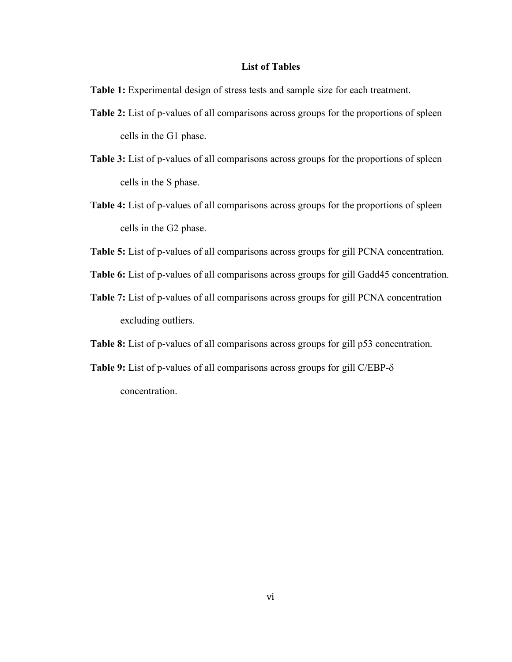#### **List of Tables**

**Table 1:** Experimental design of stress tests and sample size for each treatment.

- **Table 2:** List of p-values of all comparisons across groups for the proportions of spleen cells in the G1 phase.
- **Table 3:** List of p-values of all comparisons across groups for the proportions of spleen cells in the S phase.
- **Table 4:** List of p-values of all comparisons across groups for the proportions of spleen cells in the G2 phase.
- **Table 5:** List of p-values of all comparisons across groups for gill PCNA concentration.
- **Table 6:** List of p-values of all comparisons across groups for gill Gadd45 concentration.
- **Table 7:** List of p-values of all comparisons across groups for gill PCNA concentration excluding outliers.
- **Table 8:** List of p-values of all comparisons across groups for gill p53 concentration.
- **Table 9:** List of p-values of all comparisons across groups for gill C/EBP- $\delta$ concentration.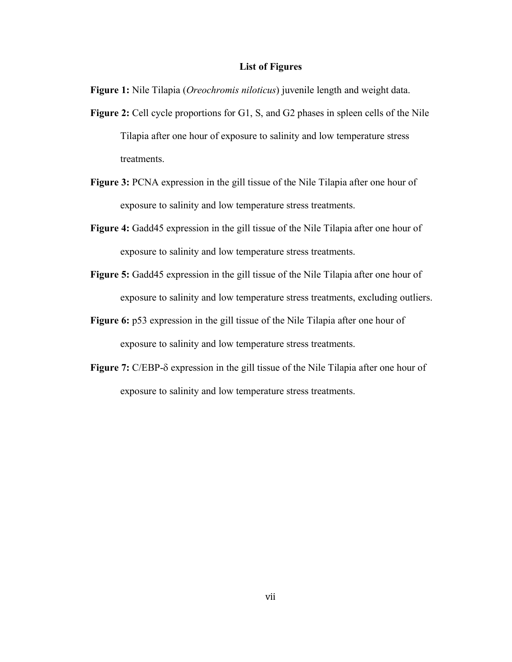#### **List of Figures**

**Figure 1:** Nile Tilapia (*Oreochromis niloticus*) juvenile length and weight data.

- **Figure 2:** Cell cycle proportions for G1, S, and G2 phases in spleen cells of the Nile Tilapia after one hour of exposure to salinity and low temperature stress treatments.
- **Figure 3:** PCNA expression in the gill tissue of the Nile Tilapia after one hour of exposure to salinity and low temperature stress treatments.
- **Figure 4:** Gadd45 expression in the gill tissue of the Nile Tilapia after one hour of exposure to salinity and low temperature stress treatments.
- **Figure 5:** Gadd45 expression in the gill tissue of the Nile Tilapia after one hour of exposure to salinity and low temperature stress treatments, excluding outliers.
- **Figure 6:** p53 expression in the gill tissue of the Nile Tilapia after one hour of exposure to salinity and low temperature stress treatments.
- **Figure 7:** C/EBP- $\delta$  expression in the gill tissue of the Nile Tilapia after one hour of exposure to salinity and low temperature stress treatments.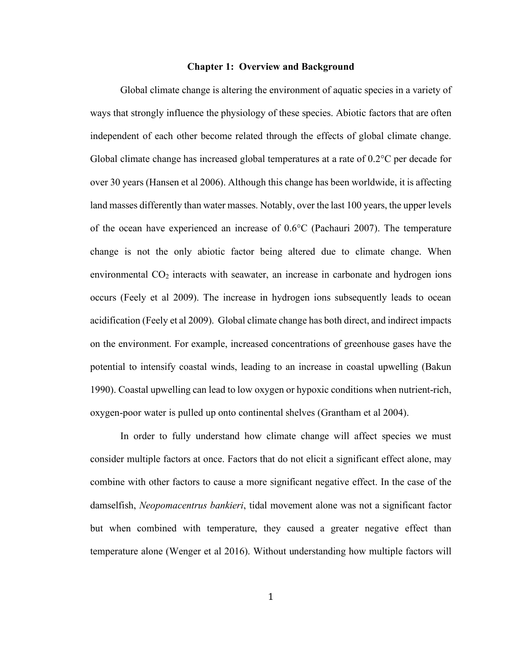#### **Chapter 1: Overview and Background**

Global climate change is altering the environment of aquatic species in a variety of ways that strongly influence the physiology of these species. Abiotic factors that are often independent of each other become related through the effects of global climate change. Global climate change has increased global temperatures at a rate of 0.2°C per decade for over 30 years (Hansen et al 2006). Although this change has been worldwide, it is affecting land masses differently than water masses. Notably, over the last 100 years, the upper levels of the ocean have experienced an increase of 0.6°C (Pachauri 2007). The temperature change is not the only abiotic factor being altered due to climate change. When environmental  $CO<sub>2</sub>$  interacts with seawater, an increase in carbonate and hydrogen ions occurs (Feely et al 2009). The increase in hydrogen ions subsequently leads to ocean acidification (Feely et al 2009). Global climate change has both direct, and indirect impacts on the environment. For example, increased concentrations of greenhouse gases have the potential to intensify coastal winds, leading to an increase in coastal upwelling (Bakun 1990). Coastal upwelling can lead to low oxygen or hypoxic conditions when nutrient-rich, oxygen-poor water is pulled up onto continental shelves (Grantham et al 2004).

In order to fully understand how climate change will affect species we must consider multiple factors at once. Factors that do not elicit a significant effect alone, may combine with other factors to cause a more significant negative effect. In the case of the damselfish, *Neopomacentrus bankieri*, tidal movement alone was not a significant factor but when combined with temperature, they caused a greater negative effect than temperature alone (Wenger et al 2016). Without understanding how multiple factors will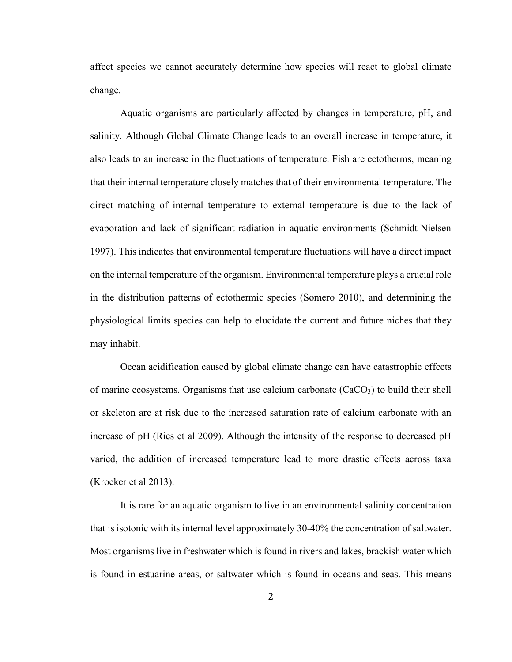affect species we cannot accurately determine how species will react to global climate change.

Aquatic organisms are particularly affected by changes in temperature, pH, and salinity. Although Global Climate Change leads to an overall increase in temperature, it also leads to an increase in the fluctuations of temperature. Fish are ectotherms, meaning that their internal temperature closely matches that of their environmental temperature. The direct matching of internal temperature to external temperature is due to the lack of evaporation and lack of significant radiation in aquatic environments (Schmidt-Nielsen 1997). This indicates that environmental temperature fluctuations will have a direct impact on the internal temperature of the organism. Environmental temperature plays a crucial role in the distribution patterns of ectothermic species (Somero 2010), and determining the physiological limits species can help to elucidate the current and future niches that they may inhabit.

Ocean acidification caused by global climate change can have catastrophic effects of marine ecosystems. Organisms that use calcium carbonate  $(CaCO<sub>3</sub>)$  to build their shell or skeleton are at risk due to the increased saturation rate of calcium carbonate with an increase of pH (Ries et al 2009). Although the intensity of the response to decreased pH varied, the addition of increased temperature lead to more drastic effects across taxa (Kroeker et al 2013).

It is rare for an aquatic organism to live in an environmental salinity concentration that is isotonic with its internal level approximately 30-40% the concentration of saltwater. Most organisms live in freshwater which is found in rivers and lakes, brackish water which is found in estuarine areas, or saltwater which is found in oceans and seas. This means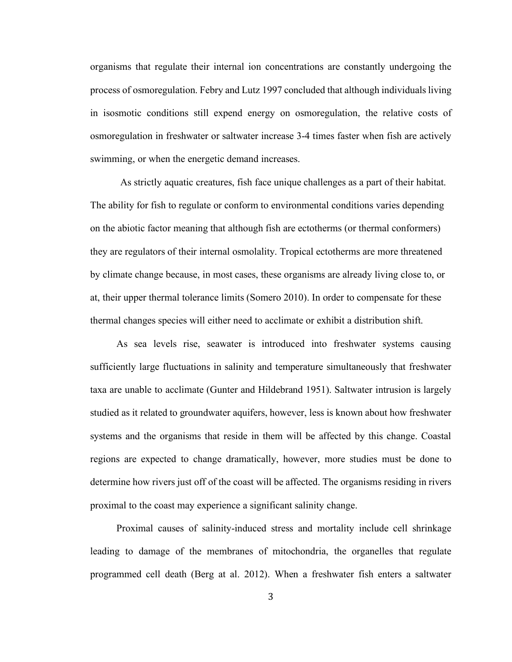organisms that regulate their internal ion concentrations are constantly undergoing the process of osmoregulation. Febry and Lutz 1997 concluded that although individuals living in isosmotic conditions still expend energy on osmoregulation, the relative costs of osmoregulation in freshwater or saltwater increase 3-4 times faster when fish are actively swimming, or when the energetic demand increases.

As strictly aquatic creatures, fish face unique challenges as a part of their habitat. The ability for fish to regulate or conform to environmental conditions varies depending on the abiotic factor meaning that although fish are ectotherms (or thermal conformers) they are regulators of their internal osmolality. Tropical ectotherms are more threatened by climate change because, in most cases, these organisms are already living close to, or at, their upper thermal tolerance limits (Somero 2010). In order to compensate for these thermal changes species will either need to acclimate or exhibit a distribution shift.

As sea levels rise, seawater is introduced into freshwater systems causing sufficiently large fluctuations in salinity and temperature simultaneously that freshwater taxa are unable to acclimate (Gunter and Hildebrand 1951). Saltwater intrusion is largely studied as it related to groundwater aquifers, however, less is known about how freshwater systems and the organisms that reside in them will be affected by this change. Coastal regions are expected to change dramatically, however, more studies must be done to determine how rivers just off of the coast will be affected. The organisms residing in rivers proximal to the coast may experience a significant salinity change.

Proximal causes of salinity-induced stress and mortality include cell shrinkage leading to damage of the membranes of mitochondria, the organelles that regulate programmed cell death (Berg at al. 2012). When a freshwater fish enters a saltwater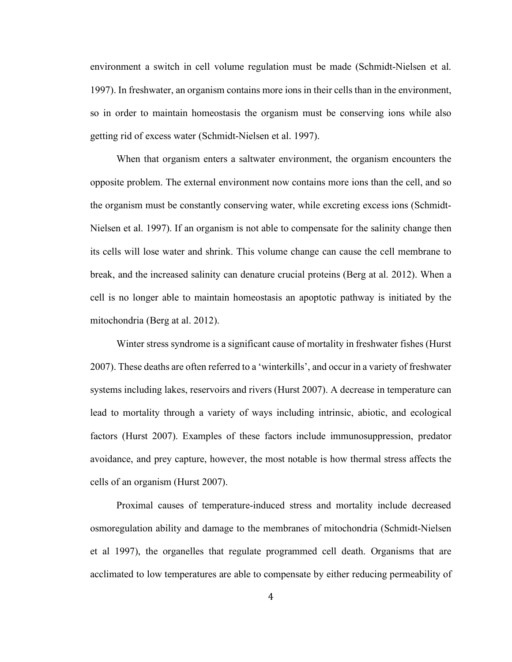environment a switch in cell volume regulation must be made (Schmidt-Nielsen et al. 1997). In freshwater, an organism contains more ions in their cells than in the environment, so in order to maintain homeostasis the organism must be conserving ions while also getting rid of excess water (Schmidt-Nielsen et al. 1997).

When that organism enters a saltwater environment, the organism encounters the opposite problem. The external environment now contains more ions than the cell, and so the organism must be constantly conserving water, while excreting excess ions (Schmidt-Nielsen et al. 1997). If an organism is not able to compensate for the salinity change then its cells will lose water and shrink. This volume change can cause the cell membrane to break, and the increased salinity can denature crucial proteins (Berg at al. 2012). When a cell is no longer able to maintain homeostasis an apoptotic pathway is initiated by the mitochondria (Berg at al. 2012).

Winter stress syndrome is a significant cause of mortality in freshwater fishes (Hurst 2007). These deaths are often referred to a 'winterkills', and occur in a variety of freshwater systems including lakes, reservoirs and rivers (Hurst 2007). A decrease in temperature can lead to mortality through a variety of ways including intrinsic, abiotic, and ecological factors (Hurst 2007). Examples of these factors include immunosuppression, predator avoidance, and prey capture, however, the most notable is how thermal stress affects the cells of an organism (Hurst 2007).

Proximal causes of temperature-induced stress and mortality include decreased osmoregulation ability and damage to the membranes of mitochondria (Schmidt-Nielsen et al 1997), the organelles that regulate programmed cell death. Organisms that are acclimated to low temperatures are able to compensate by either reducing permeability of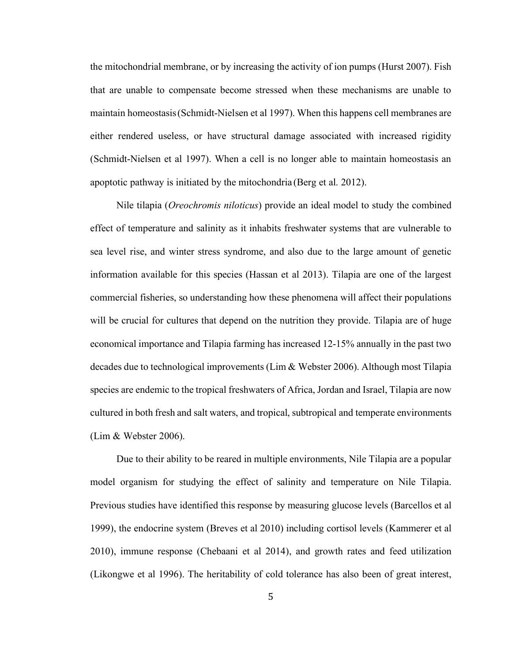the mitochondrial membrane, or by increasing the activity of ion pumps (Hurst 2007). Fish that are unable to compensate become stressed when these mechanisms are unable to maintain homeostasis(Schmidt-Nielsen et al 1997). When this happens cell membranes are either rendered useless, or have structural damage associated with increased rigidity (Schmidt-Nielsen et al 1997). When a cell is no longer able to maintain homeostasis an apoptotic pathway is initiated by the mitochondria (Berg et al. 2012).

Nile tilapia (*Oreochromis niloticus*) provide an ideal model to study the combined effect of temperature and salinity as it inhabits freshwater systems that are vulnerable to sea level rise, and winter stress syndrome, and also due to the large amount of genetic information available for this species (Hassan et al 2013). Tilapia are one of the largest commercial fisheries, so understanding how these phenomena will affect their populations will be crucial for cultures that depend on the nutrition they provide. Tilapia are of huge economical importance and Tilapia farming has increased 12-15% annually in the past two decades due to technological improvements (Lim & Webster 2006). Although most Tilapia species are endemic to the tropical freshwaters of Africa, Jordan and Israel, Tilapia are now cultured in both fresh and salt waters, and tropical, subtropical and temperate environments (Lim & Webster 2006).

Due to their ability to be reared in multiple environments, Nile Tilapia are a popular model organism for studying the effect of salinity and temperature on Nile Tilapia. Previous studies have identified this response by measuring glucose levels (Barcellos et al 1999), the endocrine system (Breves et al 2010) including cortisol levels (Kammerer et al 2010), immune response (Chebaani et al 2014), and growth rates and feed utilization (Likongwe et al 1996). The heritability of cold tolerance has also been of great interest,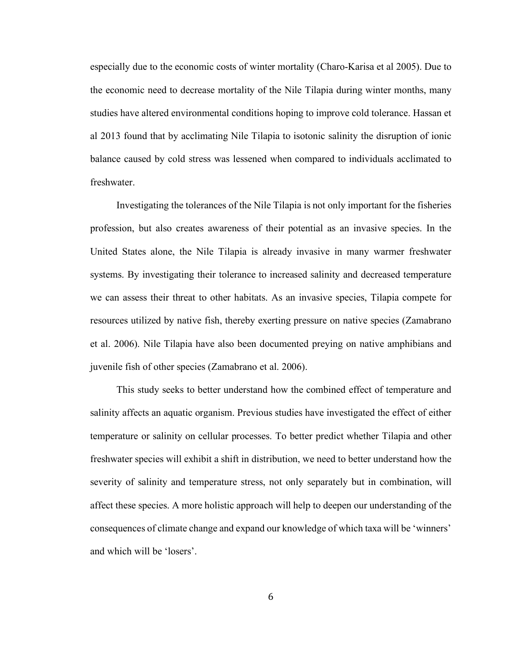especially due to the economic costs of winter mortality (Charo-Karisa et al 2005). Due to the economic need to decrease mortality of the Nile Tilapia during winter months, many studies have altered environmental conditions hoping to improve cold tolerance. Hassan et al 2013 found that by acclimating Nile Tilapia to isotonic salinity the disruption of ionic balance caused by cold stress was lessened when compared to individuals acclimated to freshwater.

Investigating the tolerances of the Nile Tilapia is not only important for the fisheries profession, but also creates awareness of their potential as an invasive species. In the United States alone, the Nile Tilapia is already invasive in many warmer freshwater systems. By investigating their tolerance to increased salinity and decreased temperature we can assess their threat to other habitats. As an invasive species, Tilapia compete for resources utilized by native fish, thereby exerting pressure on native species (Zamabrano et al. 2006). Nile Tilapia have also been documented preying on native amphibians and juvenile fish of other species (Zamabrano et al. 2006).

This study seeks to better understand how the combined effect of temperature and salinity affects an aquatic organism. Previous studies have investigated the effect of either temperature or salinity on cellular processes. To better predict whether Tilapia and other freshwater species will exhibit a shift in distribution, we need to better understand how the severity of salinity and temperature stress, not only separately but in combination, will affect these species. A more holistic approach will help to deepen our understanding of the consequences of climate change and expand our knowledge of which taxa will be 'winners' and which will be 'losers'.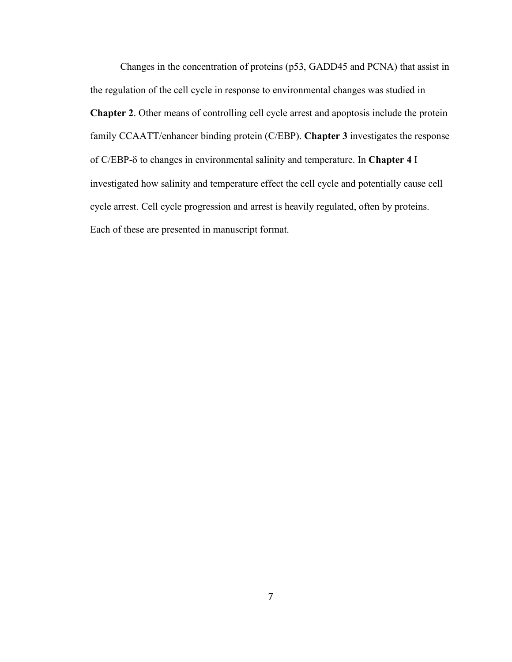Changes in the concentration of proteins (p53, GADD45 and PCNA) that assist in the regulation of the cell cycle in response to environmental changes was studied in **Chapter 2**. Other means of controlling cell cycle arrest and apoptosis include the protein family CCAATT/enhancer binding protein (C/EBP). **Chapter 3** investigates the response of C/EBP-d to changes in environmental salinity and temperature. In **Chapter 4** I investigated how salinity and temperature effect the cell cycle and potentially cause cell cycle arrest. Cell cycle progression and arrest is heavily regulated, often by proteins. Each of these are presented in manuscript format.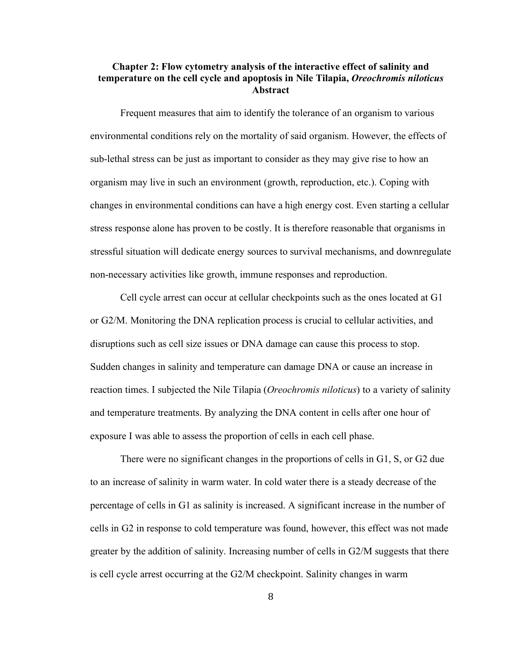# **Chapter 2: Flow cytometry analysis of the interactive effect of salinity and temperature on the cell cycle and apoptosis in Nile Tilapia,** *Oreochromis niloticus* **Abstract**

Frequent measures that aim to identify the tolerance of an organism to various environmental conditions rely on the mortality of said organism. However, the effects of sub-lethal stress can be just as important to consider as they may give rise to how an organism may live in such an environment (growth, reproduction, etc.). Coping with changes in environmental conditions can have a high energy cost. Even starting a cellular stress response alone has proven to be costly. It is therefore reasonable that organisms in stressful situation will dedicate energy sources to survival mechanisms, and downregulate non-necessary activities like growth, immune responses and reproduction.

Cell cycle arrest can occur at cellular checkpoints such as the ones located at G1 or G2/M. Monitoring the DNA replication process is crucial to cellular activities, and disruptions such as cell size issues or DNA damage can cause this process to stop. Sudden changes in salinity and temperature can damage DNA or cause an increase in reaction times. I subjected the Nile Tilapia (*Oreochromis niloticus*) to a variety of salinity and temperature treatments. By analyzing the DNA content in cells after one hour of exposure I was able to assess the proportion of cells in each cell phase.

There were no significant changes in the proportions of cells in G1, S, or G2 due to an increase of salinity in warm water. In cold water there is a steady decrease of the percentage of cells in G1 as salinity is increased. A significant increase in the number of cells in G2 in response to cold temperature was found, however, this effect was not made greater by the addition of salinity. Increasing number of cells in G2/M suggests that there is cell cycle arrest occurring at the G2/M checkpoint. Salinity changes in warm

8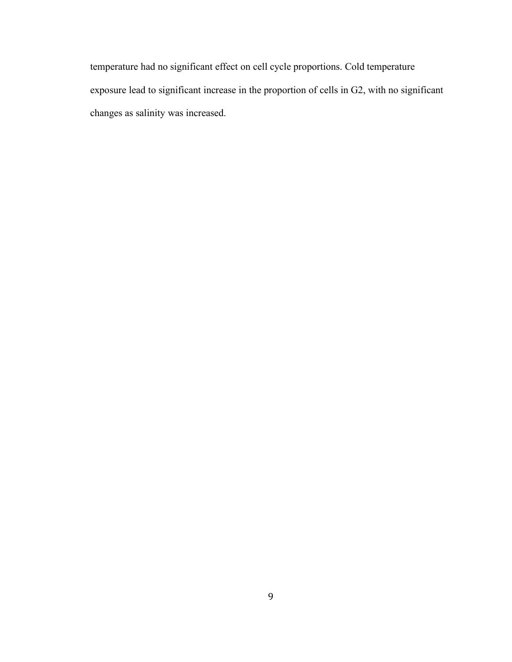temperature had no significant effect on cell cycle proportions. Cold temperature exposure lead to significant increase in the proportion of cells in G2, with no significant changes as salinity was increased.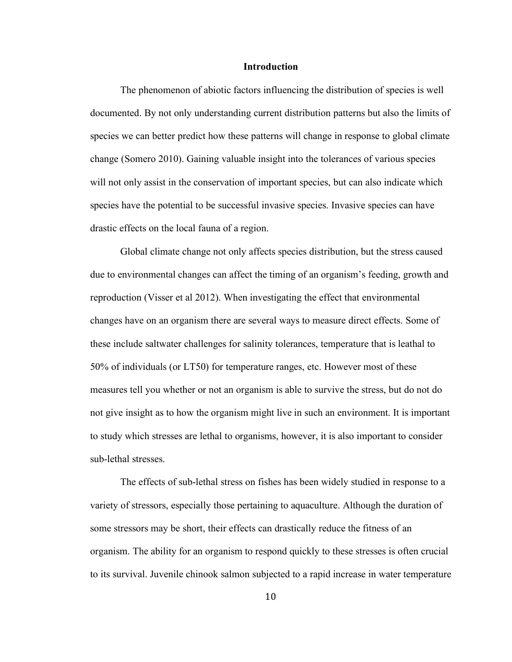#### **Introduction**

The phenomenon of abiotic factors influencing the distribution of species is well documented. By not only understanding current distribution patterns but also the limits of species we can better predict how these patterns will change in response to global climate change (Somero 2010). Gaining valuable insight into the tolerances of various species will not only assist in the conservation of important species, but can also indicate which species have the potential to be successful invasive species. Invasive species can have drastic effects on the local fauna of a region.

Global climate change not only affects species distribution, but the stress caused due to environmental changes can affect the timing of an organism's feeding, growth and reproduction (Visser et al 2012). When investigating the effect that environmental changes have on an organism there are several ways to measure direct effects. Some of these include saltwater challenges for salinity tolerances, temperature that is leathal to 50% of individuals (or LT50) for temperature ranges, etc. However most of these measures tell you whether or not an organism is able to survive the stress, but do not do not give insight as to how the organism might live in such an environment. It is important to study which stresses are lethal to organisms, however, it is also important to consider sub-lethal stresses.

The effects of sub-lethal stress on fishes has been widely studied in response to a variety of stressors, especially those pertaining to aquaculture. Although the duration of some stressors may be short, their effects can drastically reduce the fitness of an organism. The ability for an organism to respond quickly to these stresses is often crucial to its survival. Juvenile chinook salmon subjected to a rapid increase in water temperature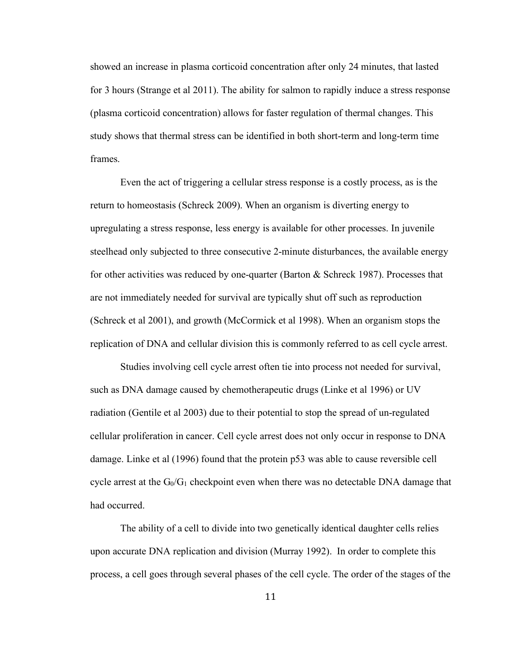showed an increase in plasma corticoid concentration after only 24 minutes, that lasted for 3 hours (Strange et al 2011). The ability for salmon to rapidly induce a stress response (plasma corticoid concentration) allows for faster regulation of thermal changes. This study shows that thermal stress can be identified in both short-term and long-term time frames.

Even the act of triggering a cellular stress response is a costly process, as is the return to homeostasis (Schreck 2009). When an organism is diverting energy to upregulating a stress response, less energy is available for other processes. In juvenile steelhead only subjected to three consecutive 2-minute disturbances, the available energy for other activities was reduced by one-quarter (Barton & Schreck 1987). Processes that are not immediately needed for survival are typically shut off such as reproduction (Schreck et al 2001), and growth (McCormick et al 1998). When an organism stops the replication of DNA and cellular division this is commonly referred to as cell cycle arrest.

Studies involving cell cycle arrest often tie into process not needed for survival, such as DNA damage caused by chemotherapeutic drugs (Linke et al 1996) or UV radiation (Gentile et al 2003) due to their potential to stop the spread of un-regulated cellular proliferation in cancer. Cell cycle arrest does not only occur in response to DNA damage. Linke et al (1996) found that the protein p53 was able to cause reversible cell cycle arrest at the  $G_0/G_1$  checkpoint even when there was no detectable DNA damage that had occurred.

The ability of a cell to divide into two genetically identical daughter cells relies upon accurate DNA replication and division (Murray 1992). In order to complete this process, a cell goes through several phases of the cell cycle. The order of the stages of the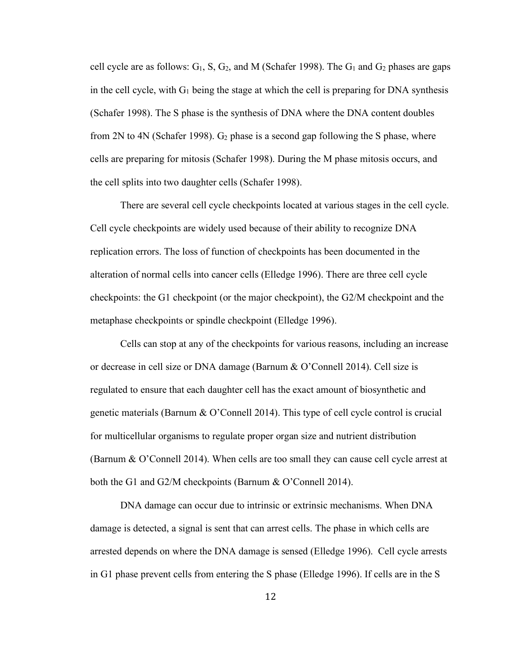cell cycle are as follows:  $G_1$ , S,  $G_2$ , and M (Schafer 1998). The  $G_1$  and  $G_2$  phases are gaps in the cell cycle, with  $G_1$  being the stage at which the cell is preparing for DNA synthesis (Schafer 1998). The S phase is the synthesis of DNA where the DNA content doubles from 2N to 4N (Schafer 1998).  $G_2$  phase is a second gap following the S phase, where cells are preparing for mitosis (Schafer 1998). During the M phase mitosis occurs, and the cell splits into two daughter cells (Schafer 1998).

There are several cell cycle checkpoints located at various stages in the cell cycle. Cell cycle checkpoints are widely used because of their ability to recognize DNA replication errors. The loss of function of checkpoints has been documented in the alteration of normal cells into cancer cells (Elledge 1996). There are three cell cycle checkpoints: the G1 checkpoint (or the major checkpoint), the G2/M checkpoint and the metaphase checkpoints or spindle checkpoint (Elledge 1996).

Cells can stop at any of the checkpoints for various reasons, including an increase or decrease in cell size or DNA damage (Barnum & O'Connell 2014). Cell size is regulated to ensure that each daughter cell has the exact amount of biosynthetic and genetic materials (Barnum & O'Connell 2014). This type of cell cycle control is crucial for multicellular organisms to regulate proper organ size and nutrient distribution (Barnum & O'Connell 2014). When cells are too small they can cause cell cycle arrest at both the G1 and G2/M checkpoints (Barnum & O'Connell 2014).

DNA damage can occur due to intrinsic or extrinsic mechanisms. When DNA damage is detected, a signal is sent that can arrest cells. The phase in which cells are arrested depends on where the DNA damage is sensed (Elledge 1996). Cell cycle arrests in G1 phase prevent cells from entering the S phase (Elledge 1996). If cells are in the S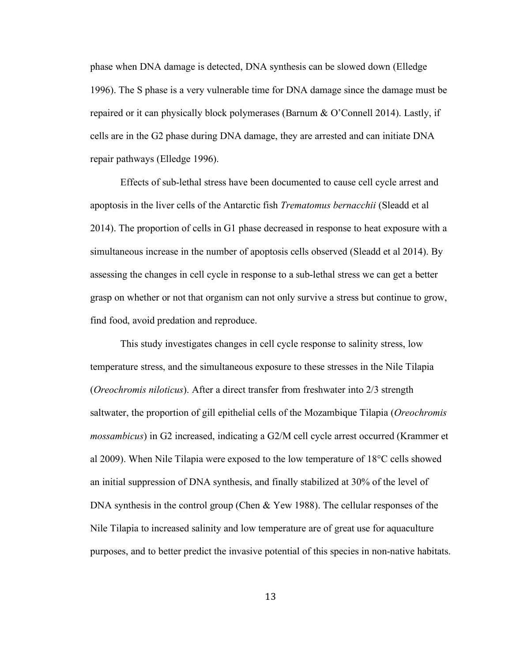phase when DNA damage is detected, DNA synthesis can be slowed down (Elledge 1996). The S phase is a very vulnerable time for DNA damage since the damage must be repaired or it can physically block polymerases (Barnum & O'Connell 2014). Lastly, if cells are in the G2 phase during DNA damage, they are arrested and can initiate DNA repair pathways (Elledge 1996).

Effects of sub-lethal stress have been documented to cause cell cycle arrest and apoptosis in the liver cells of the Antarctic fish *Trematomus bernacchii* (Sleadd et al 2014). The proportion of cells in G1 phase decreased in response to heat exposure with a simultaneous increase in the number of apoptosis cells observed (Sleadd et al 2014). By assessing the changes in cell cycle in response to a sub-lethal stress we can get a better grasp on whether or not that organism can not only survive a stress but continue to grow, find food, avoid predation and reproduce.

This study investigates changes in cell cycle response to salinity stress, low temperature stress, and the simultaneous exposure to these stresses in the Nile Tilapia (*Oreochromis niloticus*). After a direct transfer from freshwater into 2/3 strength saltwater, the proportion of gill epithelial cells of the Mozambique Tilapia (*Oreochromis mossambicus*) in G2 increased, indicating a G2/M cell cycle arrest occurred (Krammer et al 2009). When Nile Tilapia were exposed to the low temperature of 18°C cells showed an initial suppression of DNA synthesis, and finally stabilized at 30% of the level of DNA synthesis in the control group (Chen & Yew 1988). The cellular responses of the Nile Tilapia to increased salinity and low temperature are of great use for aquaculture purposes, and to better predict the invasive potential of this species in non-native habitats.

13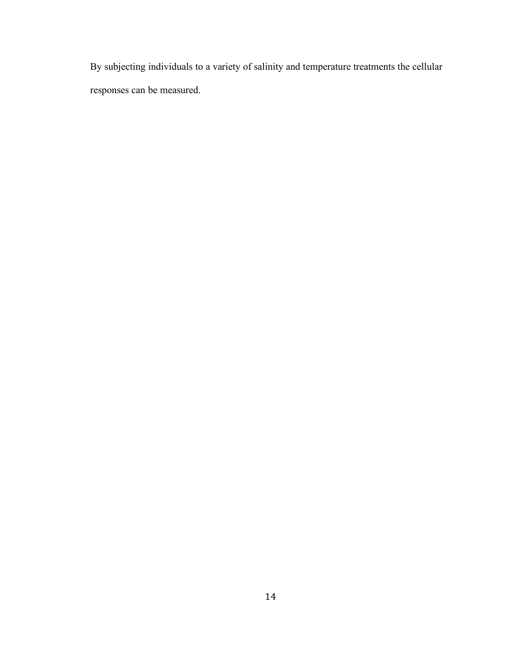By subjecting individuals to a variety of salinity and temperature treatments the cellular responses can be measured.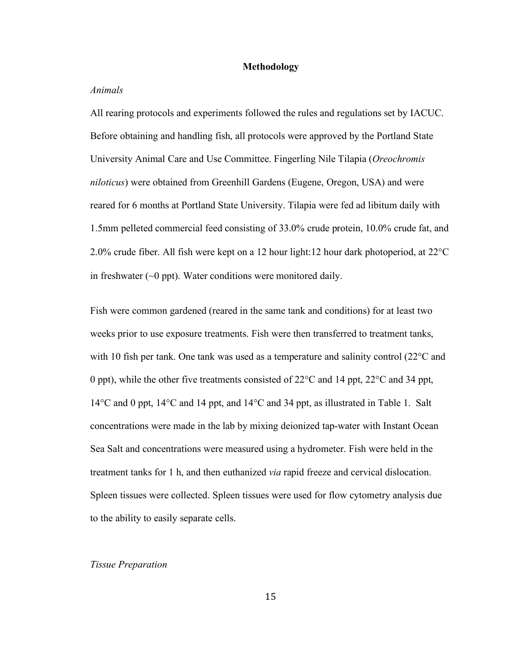#### **Methodology**

#### *Animals*

All rearing protocols and experiments followed the rules and regulations set by IACUC. Before obtaining and handling fish, all protocols were approved by the Portland State University Animal Care and Use Committee. Fingerling Nile Tilapia (*Oreochromis niloticus*) were obtained from Greenhill Gardens (Eugene, Oregon, USA) and were reared for 6 months at Portland State University. Tilapia were fed ad libitum daily with 1.5mm pelleted commercial feed consisting of 33.0% crude protein, 10.0% crude fat, and 2.0% crude fiber. All fish were kept on a 12 hour light:12 hour dark photoperiod, at 22°C in freshwater  $(\sim 0 \text{ ppt})$ . Water conditions were monitored daily.

Fish were common gardened (reared in the same tank and conditions) for at least two weeks prior to use exposure treatments. Fish were then transferred to treatment tanks, with 10 fish per tank. One tank was used as a temperature and salinity control (22<sup>o</sup>C and 0 ppt), while the other five treatments consisted of 22°C and 14 ppt, 22°C and 34 ppt, 14°C and 0 ppt, 14°C and 14 ppt, and 14°C and 34 ppt, as illustrated in Table 1. Salt concentrations were made in the lab by mixing deionized tap-water with Instant Ocean Sea Salt and concentrations were measured using a hydrometer. Fish were held in the treatment tanks for 1 h, and then euthanized *via* rapid freeze and cervical dislocation. Spleen tissues were collected. Spleen tissues were used for flow cytometry analysis due to the ability to easily separate cells.

#### *Tissue Preparation*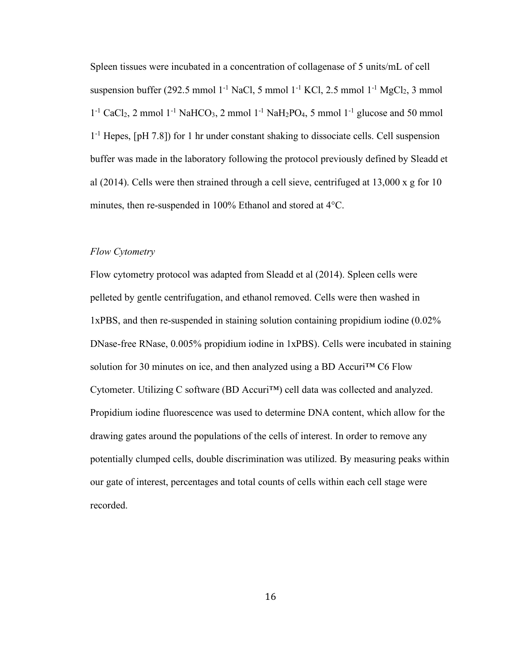Spleen tissues were incubated in a concentration of collagenase of 5 units/mL of cell suspension buffer (292.5 mmol 1<sup>-1</sup> NaCl, 5 mmol 1<sup>-1</sup> KCl, 2.5 mmol 1<sup>-1</sup> MgCl<sub>2</sub>, 3 mmol  $1^{-1}$  CaCl<sub>2</sub>, 2 mmol  $1^{-1}$  NaHCO<sub>3</sub>, 2 mmol  $1^{-1}$  NaH<sub>2</sub>PO<sub>4</sub>, 5 mmol  $1^{-1}$  glucose and 50 mmol 1-1 Hepes, [pH 7.8]) for 1 hr under constant shaking to dissociate cells. Cell suspension buffer was made in the laboratory following the protocol previously defined by Sleadd et al (2014). Cells were then strained through a cell sieve, centrifuged at 13,000 x g for 10 minutes, then re-suspended in 100% Ethanol and stored at 4°C.

#### *Flow Cytometry*

Flow cytometry protocol was adapted from Sleadd et al (2014). Spleen cells were pelleted by gentle centrifugation, and ethanol removed. Cells were then washed in 1xPBS, and then re-suspended in staining solution containing propidium iodine (0.02% DNase-free RNase, 0.005% propidium iodine in 1xPBS). Cells were incubated in staining solution for 30 minutes on ice, and then analyzed using a BD Accuri<sup>TM</sup> C6 Flow Cytometer. Utilizing C software (BD Accuri™) cell data was collected and analyzed. Propidium iodine fluorescence was used to determine DNA content, which allow for the drawing gates around the populations of the cells of interest. In order to remove any potentially clumped cells, double discrimination was utilized. By measuring peaks within our gate of interest, percentages and total counts of cells within each cell stage were recorded.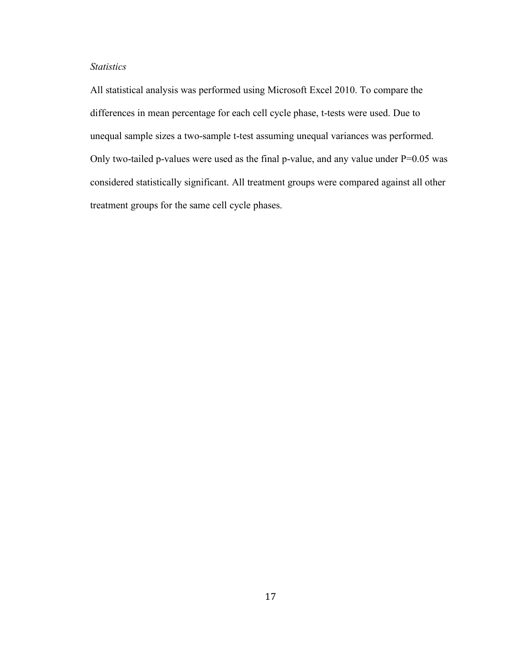## *Statistics*

All statistical analysis was performed using Microsoft Excel 2010. To compare the differences in mean percentage for each cell cycle phase, t-tests were used. Due to unequal sample sizes a two-sample t-test assuming unequal variances was performed. Only two-tailed p-values were used as the final p-value, and any value under  $P=0.05$  was considered statistically significant. All treatment groups were compared against all other treatment groups for the same cell cycle phases.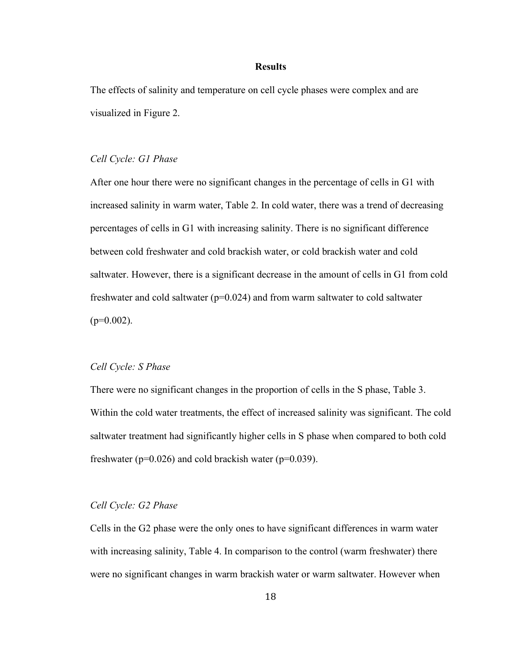#### **Results**

The effects of salinity and temperature on cell cycle phases were complex and are visualized in Figure 2.

#### *Cell Cycle: G1 Phase*

After one hour there were no significant changes in the percentage of cells in G1 with increased salinity in warm water, Table 2. In cold water, there was a trend of decreasing percentages of cells in G1 with increasing salinity. There is no significant difference between cold freshwater and cold brackish water, or cold brackish water and cold saltwater. However, there is a significant decrease in the amount of cells in G1 from cold freshwater and cold saltwater ( $p=0.024$ ) and from warm saltwater to cold saltwater  $(p=0.002)$ .

#### *Cell Cycle: S Phase*

There were no significant changes in the proportion of cells in the S phase, Table 3. Within the cold water treatments, the effect of increased salinity was significant. The cold saltwater treatment had significantly higher cells in S phase when compared to both cold freshwater ( $p=0.026$ ) and cold brackish water ( $p=0.039$ ).

#### *Cell Cycle: G2 Phase*

Cells in the G2 phase were the only ones to have significant differences in warm water with increasing salinity, Table 4. In comparison to the control (warm freshwater) there were no significant changes in warm brackish water or warm saltwater. However when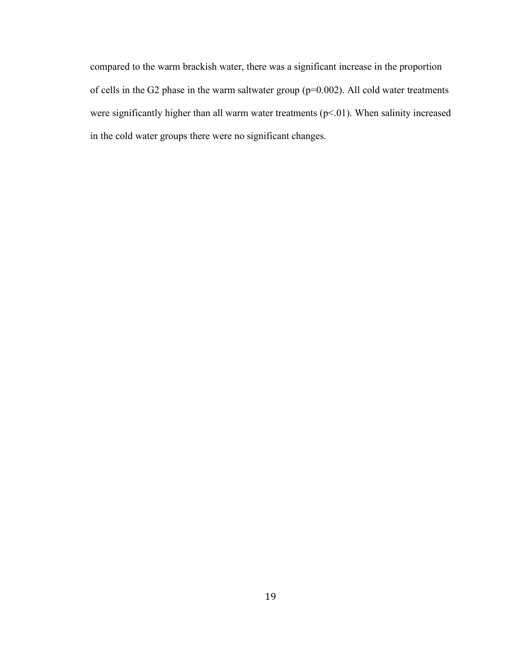compared to the warm brackish water, there was a significant increase in the proportion of cells in the G2 phase in the warm saltwater group (p=0.002). All cold water treatments were significantly higher than all warm water treatments (p<.01). When salinity increased in the cold water groups there were no significant changes.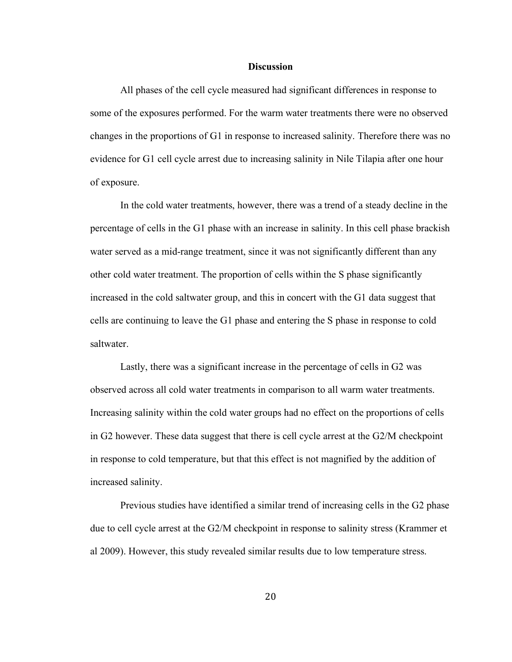#### **Discussion**

All phases of the cell cycle measured had significant differences in response to some of the exposures performed. For the warm water treatments there were no observed changes in the proportions of G1 in response to increased salinity. Therefore there was no evidence for G1 cell cycle arrest due to increasing salinity in Nile Tilapia after one hour of exposure.

In the cold water treatments, however, there was a trend of a steady decline in the percentage of cells in the G1 phase with an increase in salinity. In this cell phase brackish water served as a mid-range treatment, since it was not significantly different than any other cold water treatment. The proportion of cells within the S phase significantly increased in the cold saltwater group, and this in concert with the G1 data suggest that cells are continuing to leave the G1 phase and entering the S phase in response to cold saltwater.

Lastly, there was a significant increase in the percentage of cells in G2 was observed across all cold water treatments in comparison to all warm water treatments. Increasing salinity within the cold water groups had no effect on the proportions of cells in G2 however. These data suggest that there is cell cycle arrest at the G2/M checkpoint in response to cold temperature, but that this effect is not magnified by the addition of increased salinity.

Previous studies have identified a similar trend of increasing cells in the G2 phase due to cell cycle arrest at the G2/M checkpoint in response to salinity stress (Krammer et al 2009). However, this study revealed similar results due to low temperature stress.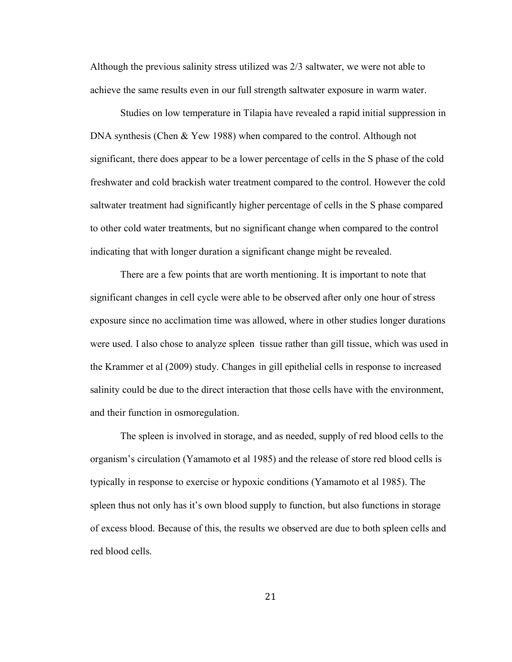Although the previous salinity stress utilized was 2/3 saltwater, we were not able to achieve the same results even in our full strength saltwater exposure in warm water.

Studies on low temperature in Tilapia have revealed a rapid initial suppression in DNA synthesis (Chen & Yew 1988) when compared to the control. Although not significant, there does appear to be a lower percentage of cells in the S phase of the cold freshwater and cold brackish water treatment compared to the control. However the cold saltwater treatment had significantly higher percentage of cells in the S phase compared to other cold water treatments, but no significant change when compared to the control indicating that with longer duration a significant change might be revealed.

There are a few points that are worth mentioning. It is important to note that significant changes in cell cycle were able to be observed after only one hour of stress exposure since no acclimation time was allowed, where in other studies longer durations were used. I also chose to analyze spleen tissue rather than gill tissue, which was used in the Krammer et al (2009) study. Changes in gill epithelial cells in response to increased salinity could be due to the direct interaction that those cells have with the environment, and their function in osmoregulation.

The spleen is involved in storage, and as needed, supply of red blood cells to the organism's circulation (Yamamoto et al 1985) and the release of store red blood cells is typically in response to exercise or hypoxic conditions (Yamamoto et al 1985). The spleen thus not only has it's own blood supply to function, but also functions in storage of excess blood. Because of this, the results we observed are due to both spleen cells and red blood cells.

21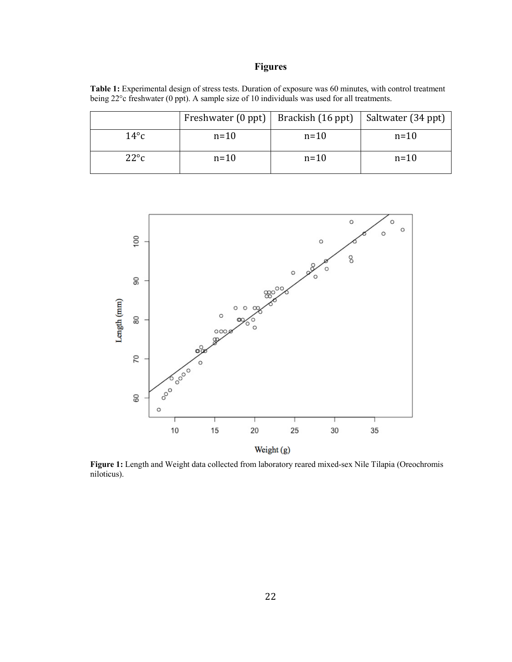# **Figures**

**Table 1:** Experimental design of stress tests. Duration of exposure was 60 minutes, with control treatment being 22°c freshwater (0 ppt). A sample size of 10 individuals was used for all treatments.

|               |        | Freshwater (0 ppt)   Brackish (16 ppt)   Saltwater (34 ppt) |        |
|---------------|--------|-------------------------------------------------------------|--------|
| $14^{\circ}c$ | $n=10$ | $n=10$                                                      | $n=10$ |
| $22^{\circ}c$ | $n=10$ | $n=10$                                                      | $n=10$ |



**Figure 1:** Length and Weight data collected from laboratory reared mixed-sex Nile Tilapia (Oreochromis niloticus).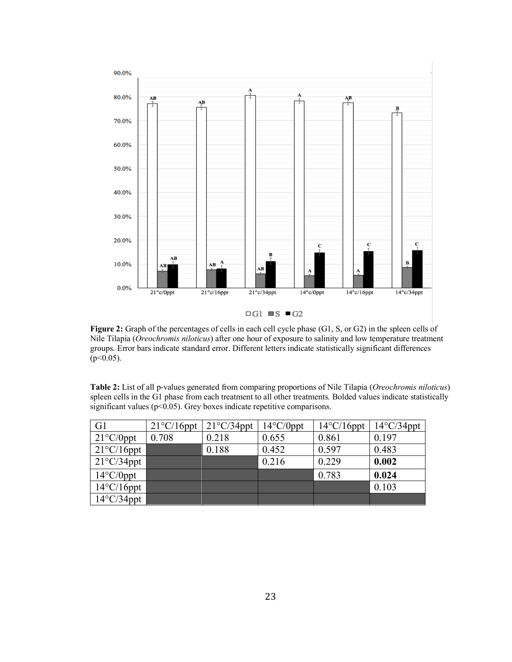

**Figure 2:** Graph of the percentages of cells in each cell cycle phase (G1, S, or G2) in the spleen cells of Nile Tilapia (*Oreochromis niloticus*) after one hour of exposure to salinity and low temperature treatment groups. Error bars indicate standard error. Different letters indicate statistically significant differences  $(p<0.05)$ .

**Table 2:** List of all p-values generated from comparing proportions of Nile Tilapia (*Oreochromis niloticus*) spleen cells in the G1 phase from each treatment to all other treatments. Bolded values indicate statistically significant values (p<0.05). Grey boxes indicate repetitive comparisons.

| G <sub>1</sub>       | $21^{\circ}$ C/16ppt | $21^{\circ}$ C/34ppt | $14^{\circ}$ C/0ppt | $14^{\circ}$ C/16ppt | $14^{\circ}$ C/34ppt |
|----------------------|----------------------|----------------------|---------------------|----------------------|----------------------|
| $21^{\circ}$ C/0ppt  | 0.708                | 0.218                | 0.655               | 0.861                | 0.197                |
| $21^{\circ}$ C/16ppt |                      | 0.188                | 0.452               | 0.597                | 0.483                |
| $21^{\circ}$ C/34ppt |                      |                      | 0.216               | 0.229                | 0.002                |
| $14^{\circ}$ C/0ppt  |                      |                      |                     | 0.783                | 0.024                |
| $14^{\circ}$ C/16ppt |                      |                      |                     |                      | 0.103                |
| $14^{\circ}$ C/34ppt |                      |                      |                     |                      |                      |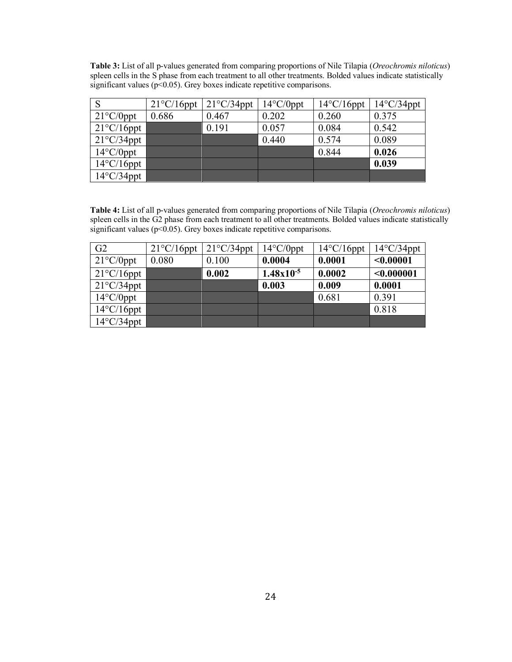**Table 3:** List of all p-values generated from comparing proportions of Nile Tilapia (*Oreochromis niloticus*) spleen cells in the S phase from each treatment to all other treatments. Bolded values indicate statistically significant values (p<0.05). Grey boxes indicate repetitive comparisons.

|                      | $21^{\circ}$ C/16ppt | $21^{\circ}$ C/34ppt | $14^{\circ}$ C/0ppt | $14^{\circ}$ C/16ppt | $14^{\circ}$ C/34ppt |
|----------------------|----------------------|----------------------|---------------------|----------------------|----------------------|
| $21^{\circ}$ C/0ppt  | 0.686                | 0.467                | 0.202               | 0.260                | 0.375                |
| $21^{\circ}$ C/16ppt |                      | 0.191                | 0.057               | 0.084                | 0.542                |
| $21^{\circ}$ C/34ppt |                      |                      | 0.440               | 0.574                | 0.089                |
| $14^{\circ}$ C/0ppt  |                      |                      |                     | 0.844                | 0.026                |
| $14^{\circ}$ C/16ppt |                      |                      |                     |                      | 0.039                |
| $14^{\circ}$ C/34ppt |                      |                      |                     |                      |                      |

**Table 4:** List of all p-values generated from comparing proportions of Nile Tilapia (*Oreochromis niloticus*) spleen cells in the G2 phase from each treatment to all other treatments. Bolded values indicate statistically significant values ( $p$ <0.05). Grey boxes indicate repetitive comparisons.

| G2                   | $21^{\circ}$ C/16ppt | $21^{\circ}$ C/34ppt | $14^{\circ}$ C/0ppt | $14^{\circ}$ C/16ppt | $14^{\circ}$ C/34ppt |
|----------------------|----------------------|----------------------|---------------------|----------------------|----------------------|
| $21^{\circ}$ C/0ppt  | 0.080                | 0.100                | 0.0004              | 0.0001               | < 0.00001            |
| $21^{\circ}$ C/16ppt |                      | 0.002                | $1.48x10^{-5}$      | 0.0002               | < 0.000001           |
| $21^{\circ}$ C/34ppt |                      |                      | 0.003               | 0.009                | 0.0001               |
| $14^{\circ}$ C/0ppt  |                      |                      |                     | 0.681                | 0.391                |
| $14^{\circ}$ C/16ppt |                      |                      |                     |                      | 0.818                |
| $14^{\circ}$ C/34ppt |                      |                      |                     |                      |                      |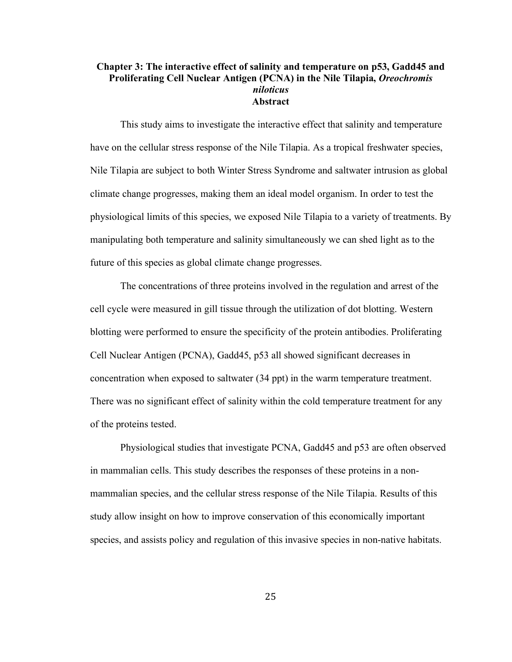### **Chapter 3: The interactive effect of salinity and temperature on p53, Gadd45 and Proliferating Cell Nuclear Antigen (PCNA) in the Nile Tilapia,** *Oreochromis niloticus* **Abstract**

This study aims to investigate the interactive effect that salinity and temperature have on the cellular stress response of the Nile Tilapia. As a tropical freshwater species, Nile Tilapia are subject to both Winter Stress Syndrome and saltwater intrusion as global climate change progresses, making them an ideal model organism. In order to test the physiological limits of this species, we exposed Nile Tilapia to a variety of treatments. By manipulating both temperature and salinity simultaneously we can shed light as to the future of this species as global climate change progresses.

The concentrations of three proteins involved in the regulation and arrest of the cell cycle were measured in gill tissue through the utilization of dot blotting. Western blotting were performed to ensure the specificity of the protein antibodies. Proliferating Cell Nuclear Antigen (PCNA), Gadd45, p53 all showed significant decreases in concentration when exposed to saltwater (34 ppt) in the warm temperature treatment. There was no significant effect of salinity within the cold temperature treatment for any of the proteins tested.

Physiological studies that investigate PCNA, Gadd45 and p53 are often observed in mammalian cells. This study describes the responses of these proteins in a nonmammalian species, and the cellular stress response of the Nile Tilapia. Results of this study allow insight on how to improve conservation of this economically important species, and assists policy and regulation of this invasive species in non-native habitats.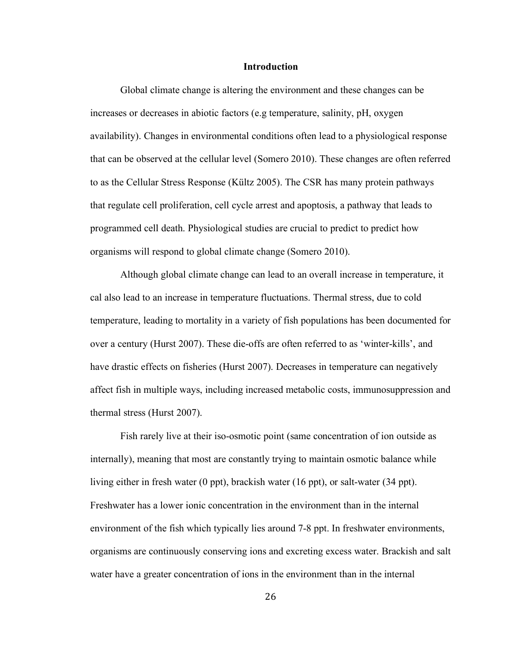#### **Introduction**

Global climate change is altering the environment and these changes can be increases or decreases in abiotic factors (e.g temperature, salinity, pH, oxygen availability). Changes in environmental conditions often lead to a physiological response that can be observed at the cellular level (Somero 2010). These changes are often referred to as the Cellular Stress Response (Kültz 2005). The CSR has many protein pathways that regulate cell proliferation, cell cycle arrest and apoptosis, a pathway that leads to programmed cell death. Physiological studies are crucial to predict to predict how organisms will respond to global climate change (Somero 2010).

Although global climate change can lead to an overall increase in temperature, it cal also lead to an increase in temperature fluctuations. Thermal stress, due to cold temperature, leading to mortality in a variety of fish populations has been documented for over a century (Hurst 2007). These die-offs are often referred to as 'winter-kills', and have drastic effects on fisheries (Hurst 2007). Decreases in temperature can negatively affect fish in multiple ways, including increased metabolic costs, immunosuppression and thermal stress (Hurst 2007).

Fish rarely live at their iso-osmotic point (same concentration of ion outside as internally), meaning that most are constantly trying to maintain osmotic balance while living either in fresh water (0 ppt), brackish water (16 ppt), or salt-water (34 ppt). Freshwater has a lower ionic concentration in the environment than in the internal environment of the fish which typically lies around 7-8 ppt. In freshwater environments, organisms are continuously conserving ions and excreting excess water. Brackish and salt water have a greater concentration of ions in the environment than in the internal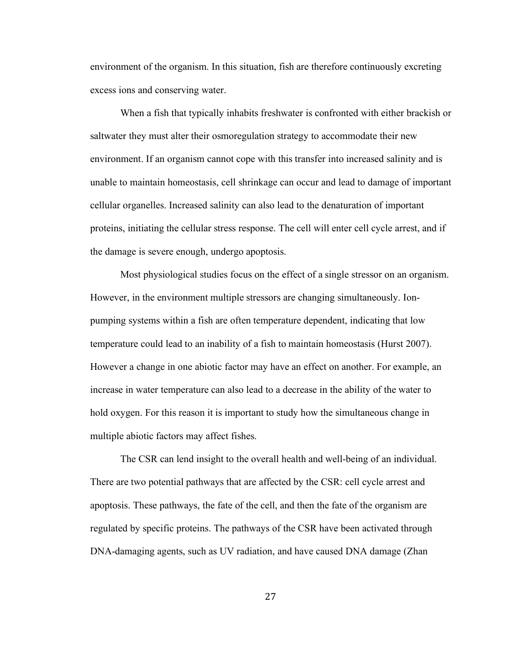environment of the organism. In this situation, fish are therefore continuously excreting excess ions and conserving water.

When a fish that typically inhabits freshwater is confronted with either brackish or saltwater they must alter their osmoregulation strategy to accommodate their new environment. If an organism cannot cope with this transfer into increased salinity and is unable to maintain homeostasis, cell shrinkage can occur and lead to damage of important cellular organelles. Increased salinity can also lead to the denaturation of important proteins, initiating the cellular stress response. The cell will enter cell cycle arrest, and if the damage is severe enough, undergo apoptosis.

Most physiological studies focus on the effect of a single stressor on an organism. However, in the environment multiple stressors are changing simultaneously. Ionpumping systems within a fish are often temperature dependent, indicating that low temperature could lead to an inability of a fish to maintain homeostasis (Hurst 2007). However a change in one abiotic factor may have an effect on another. For example, an increase in water temperature can also lead to a decrease in the ability of the water to hold oxygen. For this reason it is important to study how the simultaneous change in multiple abiotic factors may affect fishes.

The CSR can lend insight to the overall health and well-being of an individual. There are two potential pathways that are affected by the CSR: cell cycle arrest and apoptosis. These pathways, the fate of the cell, and then the fate of the organism are regulated by specific proteins. The pathways of the CSR have been activated through DNA-damaging agents, such as UV radiation, and have caused DNA damage (Zhan

27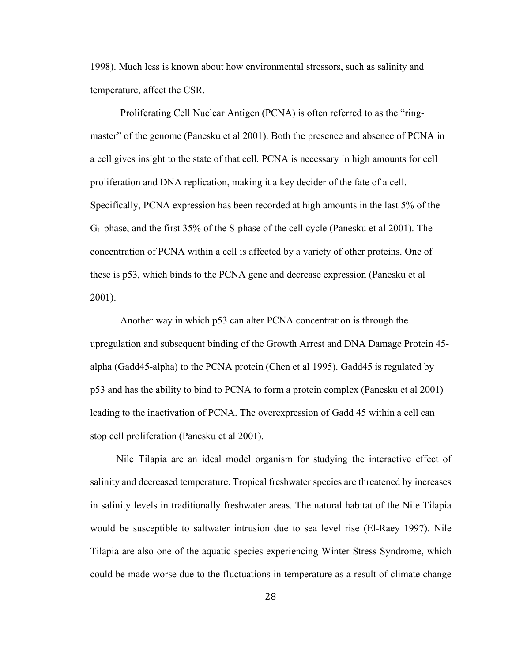1998). Much less is known about how environmental stressors, such as salinity and temperature, affect the CSR.

Proliferating Cell Nuclear Antigen (PCNA) is often referred to as the "ringmaster" of the genome (Panesku et al 2001). Both the presence and absence of PCNA in a cell gives insight to the state of that cell. PCNA is necessary in high amounts for cell proliferation and DNA replication, making it a key decider of the fate of a cell. Specifically, PCNA expression has been recorded at high amounts in the last 5% of the G1-phase, and the first 35% of the S-phase of the cell cycle (Panesku et al 2001). The concentration of PCNA within a cell is affected by a variety of other proteins. One of these is p53, which binds to the PCNA gene and decrease expression (Panesku et al 2001).

Another way in which p53 can alter PCNA concentration is through the upregulation and subsequent binding of the Growth Arrest and DNA Damage Protein 45 alpha (Gadd45-alpha) to the PCNA protein (Chen et al 1995). Gadd45 is regulated by p53 and has the ability to bind to PCNA to form a protein complex (Panesku et al 2001) leading to the inactivation of PCNA. The overexpression of Gadd 45 within a cell can stop cell proliferation (Panesku et al 2001).

Nile Tilapia are an ideal model organism for studying the interactive effect of salinity and decreased temperature. Tropical freshwater species are threatened by increases in salinity levels in traditionally freshwater areas. The natural habitat of the Nile Tilapia would be susceptible to saltwater intrusion due to sea level rise (El-Raey 1997). Nile Tilapia are also one of the aquatic species experiencing Winter Stress Syndrome, which could be made worse due to the fluctuations in temperature as a result of climate change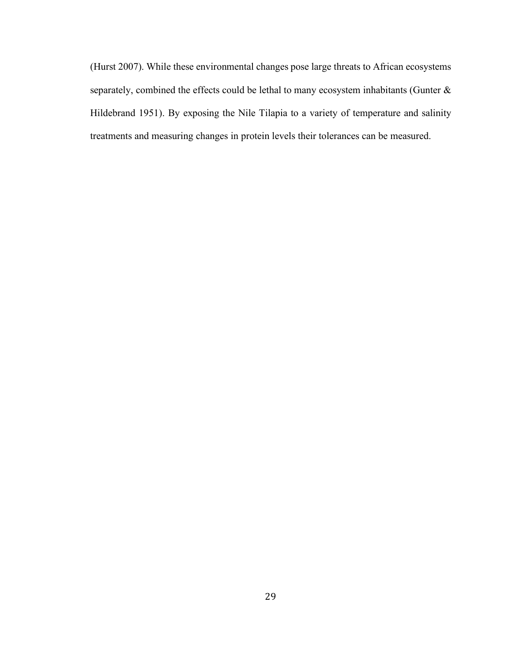(Hurst 2007). While these environmental changes pose large threats to African ecosystems separately, combined the effects could be lethal to many ecosystem inhabitants (Gunter & Hildebrand 1951). By exposing the Nile Tilapia to a variety of temperature and salinity treatments and measuring changes in protein levels their tolerances can be measured.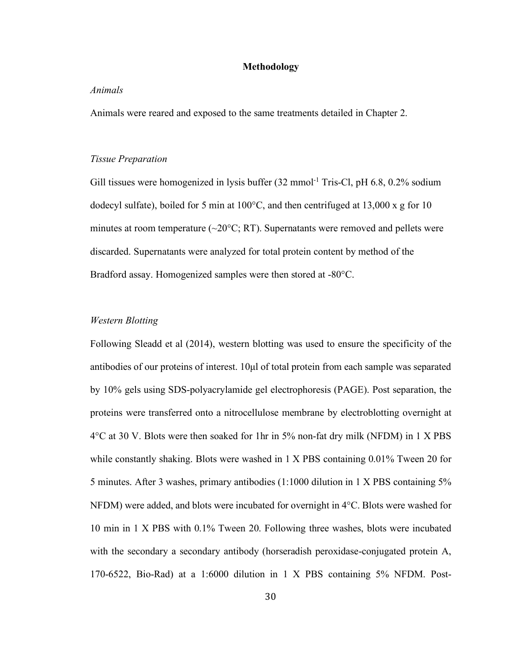# **Methodology**

#### *Animals*

Animals were reared and exposed to the same treatments detailed in Chapter 2.

#### *Tissue Preparation*

Gill tissues were homogenized in lysis buffer (32 mmol<sup>-1</sup> Tris-Cl, pH 6.8, 0.2% sodium dodecyl sulfate), boiled for 5 min at  $100^{\circ}$ C, and then centrifuged at 13,000 x g for 10 minutes at room temperature  $(\sim 20^{\circ}C$ ; RT). Supernatants were removed and pellets were discarded. Supernatants were analyzed for total protein content by method of the Bradford assay. Homogenized samples were then stored at -80°C.

# *Western Blotting*

Following Sleadd et al (2014), western blotting was used to ensure the specificity of the antibodies of our proteins of interest. 10µl of total protein from each sample was separated by 10% gels using SDS-polyacrylamide gel electrophoresis (PAGE). Post separation, the proteins were transferred onto a nitrocellulose membrane by electroblotting overnight at 4°C at 30 V. Blots were then soaked for 1hr in 5% non-fat dry milk (NFDM) in 1 X PBS while constantly shaking. Blots were washed in 1 X PBS containing 0.01% Tween 20 for 5 minutes. After 3 washes, primary antibodies (1:1000 dilution in 1 X PBS containing 5% NFDM) were added, and blots were incubated for overnight in 4°C. Blots were washed for 10 min in 1 X PBS with 0.1% Tween 20. Following three washes, blots were incubated with the secondary a secondary antibody (horseradish peroxidase-conjugated protein A, 170-6522, Bio-Rad) at a 1:6000 dilution in 1 X PBS containing 5% NFDM. Post-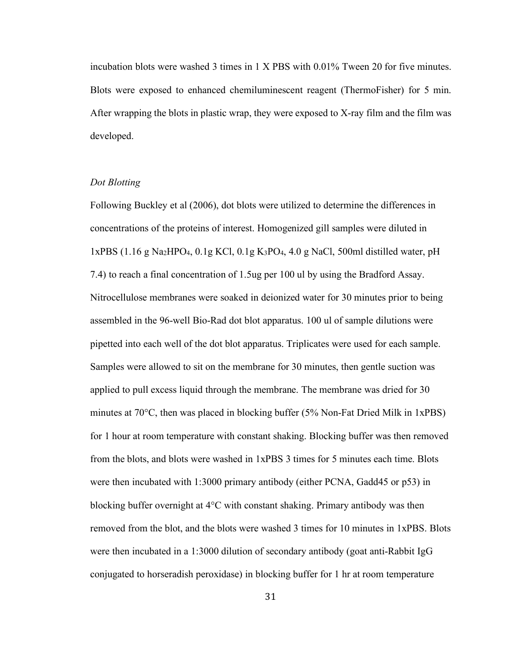incubation blots were washed 3 times in 1 X PBS with 0.01% Tween 20 for five minutes. Blots were exposed to enhanced chemiluminescent reagent (ThermoFisher) for 5 min. After wrapping the blots in plastic wrap, they were exposed to X-ray film and the film was developed.

# *Dot Blotting*

Following Buckley et al (2006), dot blots were utilized to determine the differences in concentrations of the proteins of interest. Homogenized gill samples were diluted in  $1xPBS$  (1.16 g Na<sub>2</sub>HPO<sub>4</sub>, 0.1g KCl, 0.1g K<sub>3</sub>PO<sub>4</sub>, 4.0 g NaCl, 500ml distilled water, pH 7.4) to reach a final concentration of 1.5ug per 100 ul by using the Bradford Assay. Nitrocellulose membranes were soaked in deionized water for 30 minutes prior to being assembled in the 96-well Bio-Rad dot blot apparatus. 100 ul of sample dilutions were pipetted into each well of the dot blot apparatus. Triplicates were used for each sample. Samples were allowed to sit on the membrane for 30 minutes, then gentle suction was applied to pull excess liquid through the membrane. The membrane was dried for 30 minutes at 70°C, then was placed in blocking buffer (5% Non-Fat Dried Milk in 1xPBS) for 1 hour at room temperature with constant shaking. Blocking buffer was then removed from the blots, and blots were washed in 1xPBS 3 times for 5 minutes each time. Blots were then incubated with 1:3000 primary antibody (either PCNA, Gadd45 or p53) in blocking buffer overnight at 4°C with constant shaking. Primary antibody was then removed from the blot, and the blots were washed 3 times for 10 minutes in 1xPBS. Blots were then incubated in a 1:3000 dilution of secondary antibody (goat anti-Rabbit IgG conjugated to horseradish peroxidase) in blocking buffer for 1 hr at room temperature

31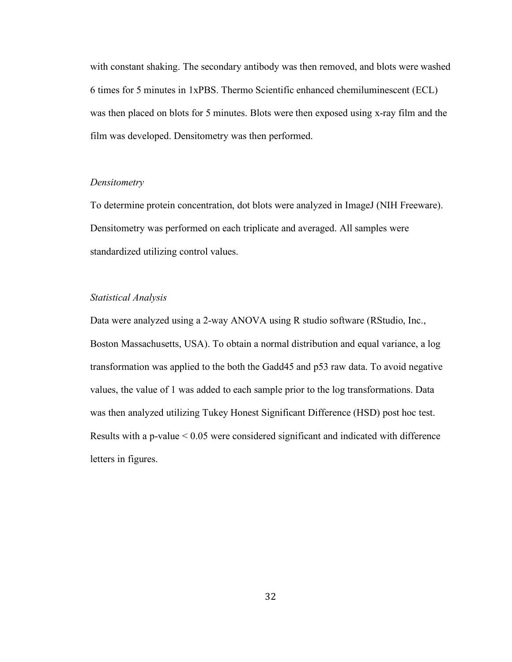with constant shaking. The secondary antibody was then removed, and blots were washed 6 times for 5 minutes in 1xPBS. Thermo Scientific enhanced chemiluminescent (ECL) was then placed on blots for 5 minutes. Blots were then exposed using x-ray film and the film was developed. Densitometry was then performed.

## *Densitometry*

To determine protein concentration, dot blots were analyzed in ImageJ (NIH Freeware). Densitometry was performed on each triplicate and averaged. All samples were standardized utilizing control values.

## *Statistical Analysis*

Data were analyzed using a 2-way ANOVA using R studio software (RStudio, Inc., Boston Massachusetts, USA). To obtain a normal distribution and equal variance, a log transformation was applied to the both the Gadd45 and p53 raw data. To avoid negative values, the value of 1 was added to each sample prior to the log transformations. Data was then analyzed utilizing Tukey Honest Significant Difference (HSD) post hoc test. Results with a p-value < 0.05 were considered significant and indicated with difference letters in figures.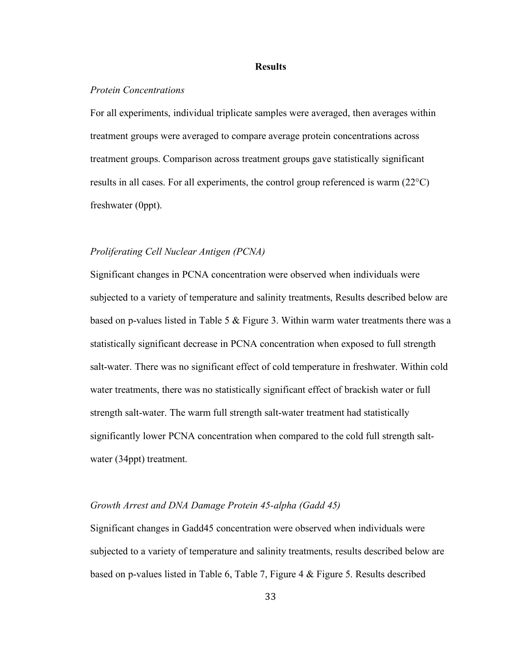#### **Results**

## *Protein Concentrations*

For all experiments, individual triplicate samples were averaged, then averages within treatment groups were averaged to compare average protein concentrations across treatment groups. Comparison across treatment groups gave statistically significant results in all cases. For all experiments, the control group referenced is warm (22°C) freshwater (0ppt).

#### *Proliferating Cell Nuclear Antigen (PCNA)*

Significant changes in PCNA concentration were observed when individuals were subjected to a variety of temperature and salinity treatments, Results described below are based on p-values listed in Table 5 & Figure 3. Within warm water treatments there was a statistically significant decrease in PCNA concentration when exposed to full strength salt-water. There was no significant effect of cold temperature in freshwater. Within cold water treatments, there was no statistically significant effect of brackish water or full strength salt-water. The warm full strength salt-water treatment had statistically significantly lower PCNA concentration when compared to the cold full strength saltwater (34ppt) treatment.

# *Growth Arrest and DNA Damage Protein 45-alpha (Gadd 45)*

Significant changes in Gadd45 concentration were observed when individuals were subjected to a variety of temperature and salinity treatments, results described below are based on p-values listed in Table 6, Table 7, Figure 4 & Figure 5. Results described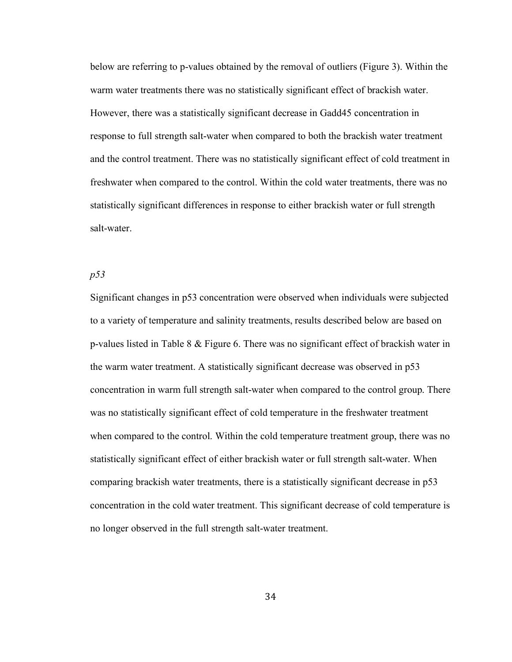below are referring to p-values obtained by the removal of outliers (Figure 3). Within the warm water treatments there was no statistically significant effect of brackish water. However, there was a statistically significant decrease in Gadd45 concentration in response to full strength salt-water when compared to both the brackish water treatment and the control treatment. There was no statistically significant effect of cold treatment in freshwater when compared to the control. Within the cold water treatments, there was no statistically significant differences in response to either brackish water or full strength salt-water.

# *p53*

Significant changes in p53 concentration were observed when individuals were subjected to a variety of temperature and salinity treatments, results described below are based on p-values listed in Table 8 & Figure 6. There was no significant effect of brackish water in the warm water treatment. A statistically significant decrease was observed in p53 concentration in warm full strength salt-water when compared to the control group. There was no statistically significant effect of cold temperature in the freshwater treatment when compared to the control. Within the cold temperature treatment group, there was no statistically significant effect of either brackish water or full strength salt-water. When comparing brackish water treatments, there is a statistically significant decrease in p53 concentration in the cold water treatment. This significant decrease of cold temperature is no longer observed in the full strength salt-water treatment.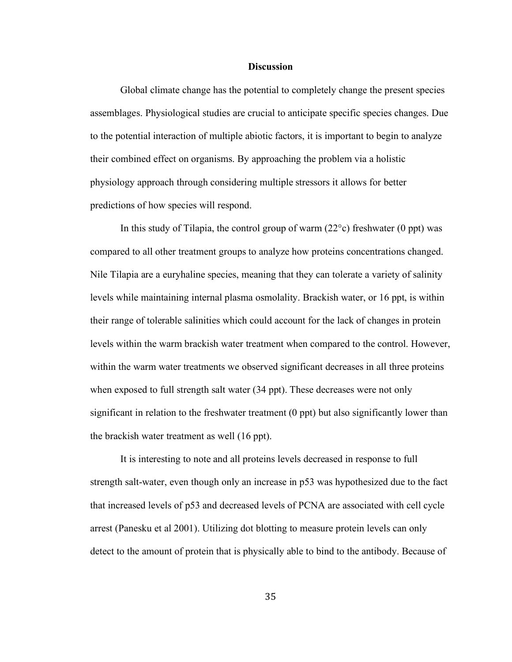#### **Discussion**

Global climate change has the potential to completely change the present species assemblages. Physiological studies are crucial to anticipate specific species changes. Due to the potential interaction of multiple abiotic factors, it is important to begin to analyze their combined effect on organisms. By approaching the problem via a holistic physiology approach through considering multiple stressors it allows for better predictions of how species will respond.

In this study of Tilapia, the control group of warm  $(22^{\circ}c)$  freshwater (0 ppt) was compared to all other treatment groups to analyze how proteins concentrations changed. Nile Tilapia are a euryhaline species, meaning that they can tolerate a variety of salinity levels while maintaining internal plasma osmolality. Brackish water, or 16 ppt, is within their range of tolerable salinities which could account for the lack of changes in protein levels within the warm brackish water treatment when compared to the control. However, within the warm water treatments we observed significant decreases in all three proteins when exposed to full strength salt water (34 ppt). These decreases were not only significant in relation to the freshwater treatment (0 ppt) but also significantly lower than the brackish water treatment as well (16 ppt).

It is interesting to note and all proteins levels decreased in response to full strength salt-water, even though only an increase in p53 was hypothesized due to the fact that increased levels of p53 and decreased levels of PCNA are associated with cell cycle arrest (Panesku et al 2001). Utilizing dot blotting to measure protein levels can only detect to the amount of protein that is physically able to bind to the antibody. Because of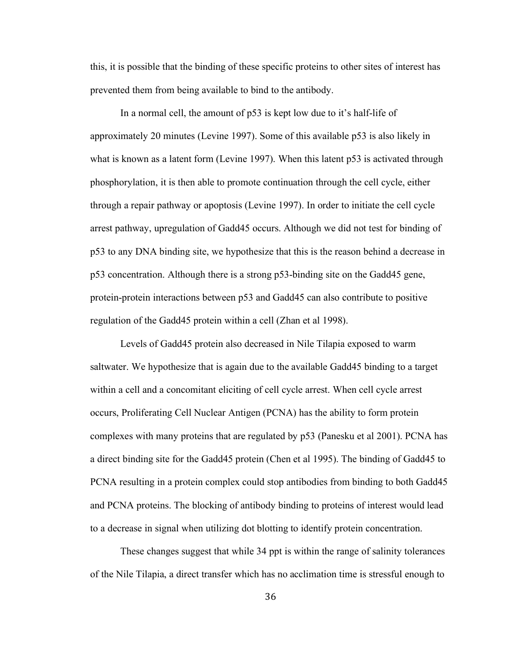this, it is possible that the binding of these specific proteins to other sites of interest has prevented them from being available to bind to the antibody.

In a normal cell, the amount of p53 is kept low due to it's half-life of approximately 20 minutes (Levine 1997). Some of this available p53 is also likely in what is known as a latent form (Levine 1997). When this latent p53 is activated through phosphorylation, it is then able to promote continuation through the cell cycle, either through a repair pathway or apoptosis (Levine 1997). In order to initiate the cell cycle arrest pathway, upregulation of Gadd45 occurs. Although we did not test for binding of p53 to any DNA binding site, we hypothesize that this is the reason behind a decrease in p53 concentration. Although there is a strong p53-binding site on the Gadd45 gene, protein-protein interactions between p53 and Gadd45 can also contribute to positive regulation of the Gadd45 protein within a cell (Zhan et al 1998).

Levels of Gadd45 protein also decreased in Nile Tilapia exposed to warm saltwater. We hypothesize that is again due to the available Gadd45 binding to a target within a cell and a concomitant eliciting of cell cycle arrest. When cell cycle arrest occurs, Proliferating Cell Nuclear Antigen (PCNA) has the ability to form protein complexes with many proteins that are regulated by p53 (Panesku et al 2001). PCNA has a direct binding site for the Gadd45 protein (Chen et al 1995). The binding of Gadd45 to PCNA resulting in a protein complex could stop antibodies from binding to both Gadd45 and PCNA proteins. The blocking of antibody binding to proteins of interest would lead to a decrease in signal when utilizing dot blotting to identify protein concentration.

These changes suggest that while 34 ppt is within the range of salinity tolerances of the Nile Tilapia, a direct transfer which has no acclimation time is stressful enough to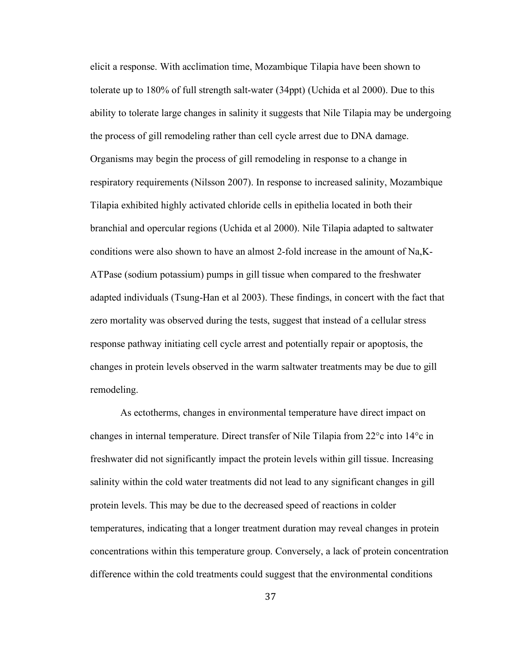elicit a response. With acclimation time, Mozambique Tilapia have been shown to tolerate up to 180% of full strength salt-water (34ppt) (Uchida et al 2000). Due to this ability to tolerate large changes in salinity it suggests that Nile Tilapia may be undergoing the process of gill remodeling rather than cell cycle arrest due to DNA damage. Organisms may begin the process of gill remodeling in response to a change in respiratory requirements (Nilsson 2007). In response to increased salinity, Mozambique Tilapia exhibited highly activated chloride cells in epithelia located in both their branchial and opercular regions (Uchida et al 2000). Nile Tilapia adapted to saltwater conditions were also shown to have an almost 2-fold increase in the amount of Na,K-ATPase (sodium potassium) pumps in gill tissue when compared to the freshwater adapted individuals (Tsung-Han et al 2003). These findings, in concert with the fact that zero mortality was observed during the tests, suggest that instead of a cellular stress response pathway initiating cell cycle arrest and potentially repair or apoptosis, the changes in protein levels observed in the warm saltwater treatments may be due to gill remodeling.

As ectotherms, changes in environmental temperature have direct impact on changes in internal temperature. Direct transfer of Nile Tilapia from 22°c into 14°c in freshwater did not significantly impact the protein levels within gill tissue. Increasing salinity within the cold water treatments did not lead to any significant changes in gill protein levels. This may be due to the decreased speed of reactions in colder temperatures, indicating that a longer treatment duration may reveal changes in protein concentrations within this temperature group. Conversely, a lack of protein concentration difference within the cold treatments could suggest that the environmental conditions

37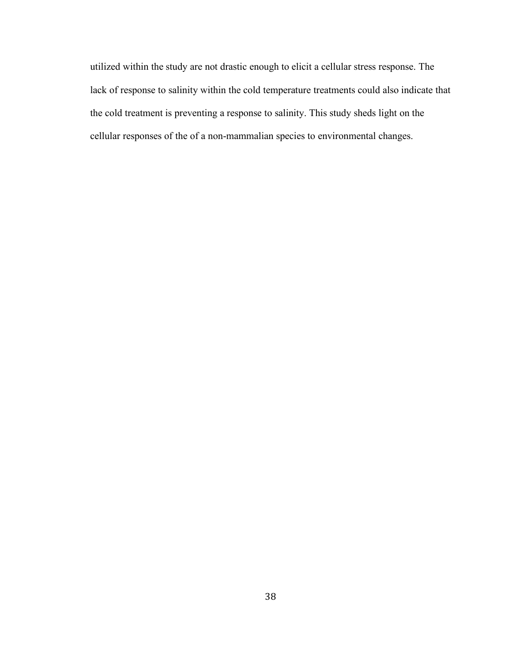utilized within the study are not drastic enough to elicit a cellular stress response. The lack of response to salinity within the cold temperature treatments could also indicate that the cold treatment is preventing a response to salinity. This study sheds light on the cellular responses of the of a non-mammalian species to environmental changes.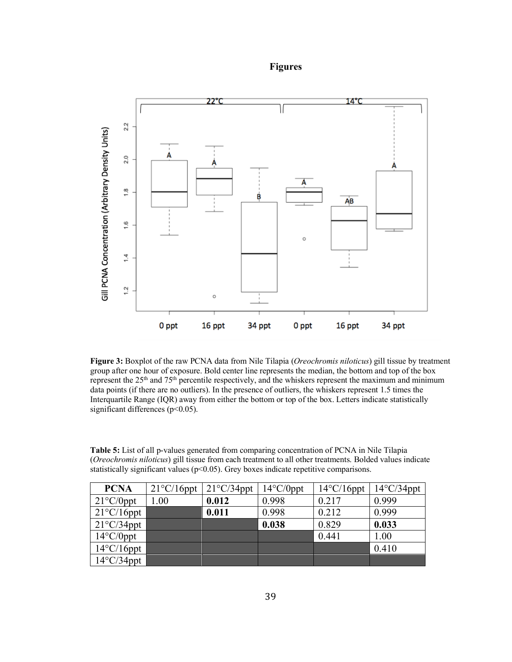**Figures**



**Figure 3:** Boxplot of the raw PCNA data from Nile Tilapia (*Oreochromis niloticus*) gill tissue by treatment group after one hour of exposure. Bold center line represents the median, the bottom and top of the box represent the 25<sup>th</sup> and 75<sup>th</sup> percentile respectively, and the whiskers represent the maximum and minimum data points (if there are no outliers). In the presence of outliers, the whiskers represent 1.5 times the Interquartile Range (IQR) away from either the bottom or top of the box. Letters indicate statistically significant differences ( $p$ <0.05).

**Table 5:** List of all p-values generated from comparing concentration of PCNA in Nile Tilapia (*Oreochromis niloticus*) gill tissue from each treatment to all other treatments. Bolded values indicate statistically significant values (p<0.05). Grey boxes indicate repetitive comparisons.

| <b>PCNA</b>          | $21^{\circ}$ C/16ppt | $21^{\circ}$ C/34ppt | $14^{\circ}$ C/0ppt | $14^{\circ}$ C/16ppt | $14^{\circ}$ C/34ppt |
|----------------------|----------------------|----------------------|---------------------|----------------------|----------------------|
| $21^{\circ}$ C/0ppt  | .00                  | 0.012                | 0.998               | 0.217                | 0.999                |
| $21^{\circ}$ C/16ppt |                      | 0.011                | 0.998               | 0.212                | 0.999                |
| $21^{\circ}$ C/34ppt |                      |                      | 0.038               | 0.829                | 0.033                |
| $14^{\circ}$ C/0ppt  |                      |                      |                     | 0.441                | 1.00                 |
| $14^{\circ}$ C/16ppt |                      |                      |                     |                      | 0.410                |
| $14^{\circ}$ C/34ppt |                      |                      |                     |                      |                      |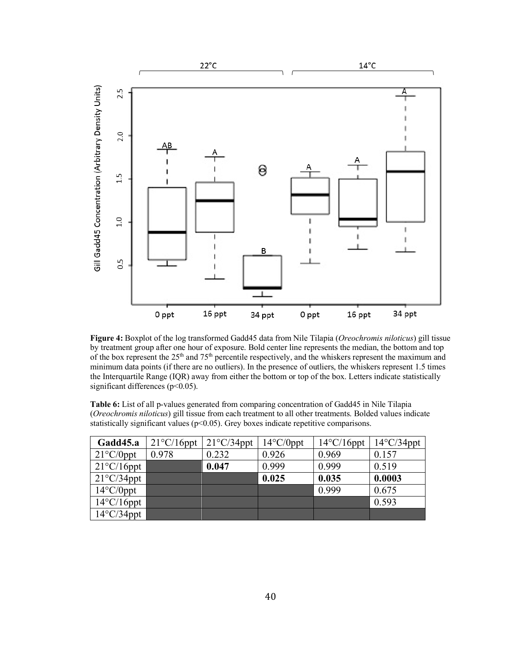

**Figure 4:** Boxplot of the log transformed Gadd45 data from Nile Tilapia (*Oreochromis niloticus*) gill tissue by treatment group after one hour of exposure. Bold center line represents the median, the bottom and top of the box represent the 25<sup>th</sup> and 75<sup>th</sup> percentile respectively, and the whiskers represent the maximum and minimum data points (if there are no outliers). In the presence of outliers, the whiskers represent 1.5 times the Interquartile Range (IQR) away from either the bottom or top of the box. Letters indicate statistically significant differences (p<0.05).

**Table 6:** List of all p-values generated from comparing concentration of Gadd45 in Nile Tilapia (*Oreochromis niloticus*) gill tissue from each treatment to all other treatments. Bolded values indicate statistically significant values ( $p<0.05$ ). Grey boxes indicate repetitive comparisons.

| Gadd45.a             | $21^{\circ}$ C/16ppt | $21^{\circ}$ C/34ppt | $14^{\circ}$ C/0ppt | $14^{\circ}$ C/16ppt | $14^{\circ}$ C/34ppt |
|----------------------|----------------------|----------------------|---------------------|----------------------|----------------------|
| $21^{\circ}$ C/0ppt  | 0.978                | 0.232                | 0.926               | 0.969                | 0.157                |
| $21^{\circ}$ C/16ppt |                      | 0.047                | 0.999               | 0.999                | 0.519                |
| $21^{\circ}$ C/34ppt |                      |                      | 0.025               | 0.035                | 0.0003               |
| $14^{\circ}$ C/0ppt  |                      |                      |                     | 0.999                | 0.675                |
| $14^{\circ}$ C/16ppt |                      |                      |                     |                      | 0.593                |
| $14^{\circ}$ C/34ppt |                      |                      |                     |                      |                      |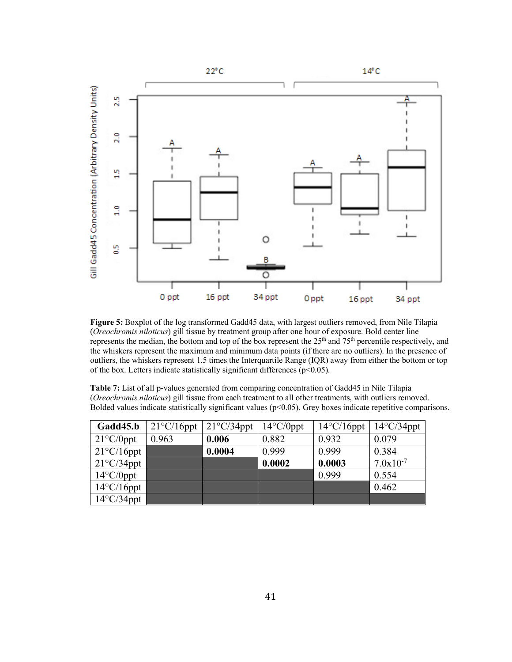

**Figure 5:** Boxplot of the log transformed Gadd45 data, with largest outliers removed, from Nile Tilapia (*Oreochromis niloticus*) gill tissue by treatment group after one hour of exposure. Bold center line represents the median, the bottom and top of the box represent the 25th and 75th percentile respectively, and the whiskers represent the maximum and minimum data points (if there are no outliers). In the presence of outliers, the whiskers represent 1.5 times the Interquartile Range (IQR) away from either the bottom or top of the box. Letters indicate statistically significant differences ( $p<0.05$ ).

**Table 7:** List of all p-values generated from comparing concentration of Gadd45 in Nile Tilapia (*Oreochromis niloticus*) gill tissue from each treatment to all other treatments, with outliers removed. Bolded values indicate statistically significant values ( $p<0.05$ ). Grey boxes indicate repetitive comparisons.

| Gadd45.b             | $21^{\circ}$ C/16ppt | $21^{\circ}$ C/34ppt | $14^{\circ}$ C/0ppt | $14^{\circ}$ C/16ppt | $14^{\circ}$ C/34ppt |
|----------------------|----------------------|----------------------|---------------------|----------------------|----------------------|
| $21^{\circ}$ C/0ppt  | 0.963                | 0.006                | 0.882               | 0.932                | 0.079                |
| $21^{\circ}$ C/16ppt |                      | 0.0004               | 0.999               | 0.999                | 0.384                |
| $21^{\circ}$ C/34ppt |                      |                      | 0.0002              | 0.0003               | $7.0x10^{-7}$        |
| $14^{\circ}$ C/0ppt  |                      |                      |                     | 0.999                | 0.554                |
| $14^{\circ}$ C/16ppt |                      |                      |                     |                      | 0.462                |
| $14^{\circ}$ C/34ppt |                      |                      |                     |                      |                      |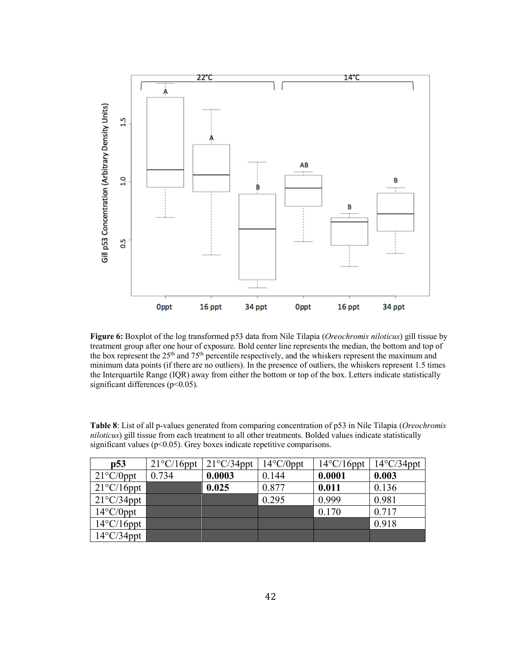

**Figure 6:** Boxplot of the log transformed p53 data from Nile Tilapia (*Oreochromis niloticus*) gill tissue by treatment group after one hour of exposure. Bold center line represents the median, the bottom and top of the box represent the 25<sup>th</sup> and 75<sup>th</sup> percentile respectively, and the whiskers represent the maximum and minimum data points (if there are no outliers). In the presence of outliers, the whiskers represent 1.5 times the Interquartile Range (IQR) away from either the bottom or top of the box. Letters indicate statistically significant differences (p<0.05).

| p53                  | $21^{\circ}$ C/16ppt | $21^{\circ}$ C/34ppt | $14^{\circ}$ C/0ppt | $14^{\circ}$ C/16ppt | $14^{\circ}$ C/34ppt |
|----------------------|----------------------|----------------------|---------------------|----------------------|----------------------|
| $21^{\circ}$ C/0ppt  | 0.734                | 0.0003               | 0.144               | 0.0001               | 0.003                |
| $21^{\circ}$ C/16ppt |                      | 0.025                | 0.877               | 0.011                | 0.136                |
| $21^{\circ}$ C/34ppt |                      |                      | 0.295               | 0.999                | 0.981                |
| $14^{\circ}$ C/0ppt  |                      |                      |                     | 0.170                | 0.717                |
| $14^{\circ}$ C/16ppt |                      |                      |                     |                      | 0.918                |
| $14^{\circ}$ C/34ppt |                      |                      |                     |                      |                      |

**Table 8**: List of all p-values generated from comparing concentration of p53 in Nile Tilapia (*Oreochromis niloticus*) gill tissue from each treatment to all other treatments. Bolded values indicate statistically significant values ( $p<0.05$ ). Grey boxes indicate repetitive comparisons.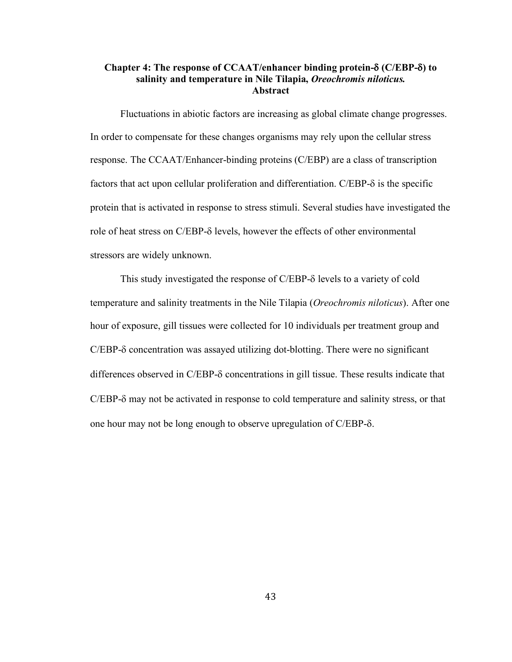# **Chapter 4: The response of CCAAT/enhancer binding protein-**d **(C/EBP-**d**) to salinity and temperature in Nile Tilapia,** *Oreochromis niloticus.* **Abstract**

Fluctuations in abiotic factors are increasing as global climate change progresses. In order to compensate for these changes organisms may rely upon the cellular stress response. The CCAAT/Enhancer-binding proteins (C/EBP) are a class of transcription factors that act upon cellular proliferation and differentiation. C/EBP- $\delta$  is the specific protein that is activated in response to stress stimuli. Several studies have investigated the role of heat stress on C/EBP-δ levels, however the effects of other environmental stressors are widely unknown.

This study investigated the response of  $C/EBP-\delta$  levels to a variety of cold temperature and salinity treatments in the Nile Tilapia (*Oreochromis niloticus*). After one hour of exposure, gill tissues were collected for 10 individuals per treatment group and  $C/EBP-\delta$  concentration was assayed utilizing dot-blotting. There were no significant differences observed in  $C/EBP-\delta$  concentrations in gill tissue. These results indicate that  $C/EBP-\delta$  may not be activated in response to cold temperature and salinity stress, or that one hour may not be long enough to observe upregulation of  $C/EBP-\delta$ .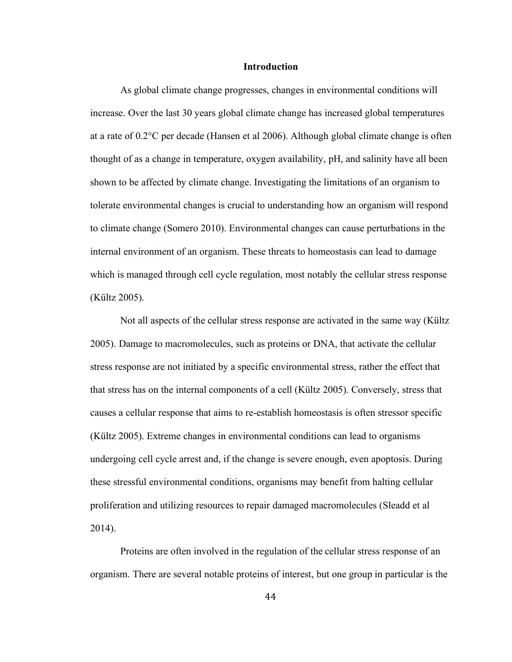## **Introduction**

As global climate change progresses, changes in environmental conditions will increase. Over the last 30 years global climate change has increased global temperatures at a rate of 0.2°C per decade (Hansen et al 2006). Although global climate change is often thought of as a change in temperature, oxygen availability, pH, and salinity have all been shown to be affected by climate change. Investigating the limitations of an organism to tolerate environmental changes is crucial to understanding how an organism will respond to climate change (Somero 2010). Environmental changes can cause perturbations in the internal environment of an organism. These threats to homeostasis can lead to damage which is managed through cell cycle regulation, most notably the cellular stress response (Kültz 2005).

Not all aspects of the cellular stress response are activated in the same way (Kültz 2005). Damage to macromolecules, such as proteins or DNA, that activate the cellular stress response are not initiated by a specific environmental stress, rather the effect that that stress has on the internal components of a cell (Kültz 2005). Conversely, stress that causes a cellular response that aims to re-establish homeostasis is often stressor specific (Kültz 2005). Extreme changes in environmental conditions can lead to organisms undergoing cell cycle arrest and, if the change is severe enough, even apoptosis. During these stressful environmental conditions, organisms may benefit from halting cellular proliferation and utilizing resources to repair damaged macromolecules (Sleadd et al 2014).

Proteins are often involved in the regulation of the cellular stress response of an organism. There are several notable proteins of interest, but one group in particular is the

44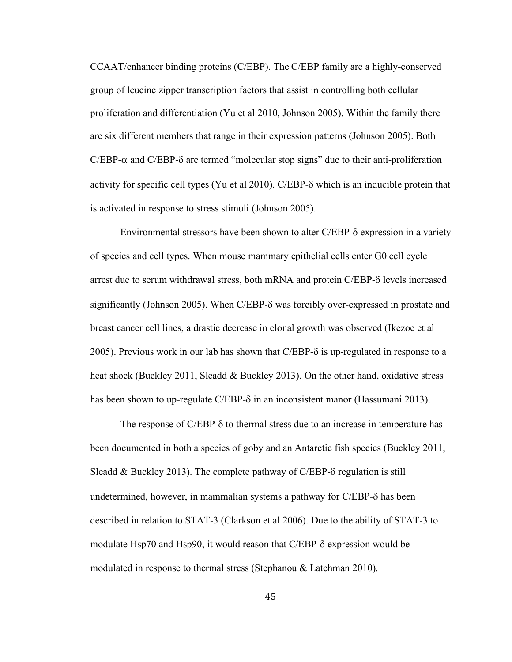CCAAT/enhancer binding proteins (C/EBP). The C/EBP family are a highly-conserved group of leucine zipper transcription factors that assist in controlling both cellular proliferation and differentiation (Yu et al 2010, Johnson 2005). Within the family there are six different members that range in their expression patterns (Johnson 2005). Both  $C/EBP-\alpha$  and  $C/EBP-\delta$  are termed "molecular stop signs" due to their anti-proliferation activity for specific cell types (Yu et al 2010). C/EBP-d which is an inducible protein that is activated in response to stress stimuli (Johnson 2005).

Environmental stressors have been shown to alter C/EBP-d expression in a variety of species and cell types. When mouse mammary epithelial cells enter G0 cell cycle arrest due to serum withdrawal stress, both mRNA and protein C/EBP- $\delta$  levels increased significantly (Johnson 2005). When  $C/EBP-\delta$  was forcibly over-expressed in prostate and breast cancer cell lines, a drastic decrease in clonal growth was observed (Ikezoe et al 2005). Previous work in our lab has shown that C/EBP- $\delta$  is up-regulated in response to a heat shock (Buckley 2011, Sleadd & Buckley 2013). On the other hand, oxidative stress has been shown to up-regulate C/EBP- $\delta$  in an inconsistent manor (Hassumani 2013).

The response of C/EBP- $\delta$  to thermal stress due to an increase in temperature has been documented in both a species of goby and an Antarctic fish species (Buckley 2011, Sleadd & Buckley 2013). The complete pathway of  $C/EBP-\delta$  regulation is still undetermined, however, in mammalian systems a pathway for  $C/EBP-\delta$  has been described in relation to STAT-3 (Clarkson et al 2006). Due to the ability of STAT-3 to modulate Hsp70 and Hsp90, it would reason that C/EBP- $\delta$  expression would be modulated in response to thermal stress (Stephanou & Latchman 2010).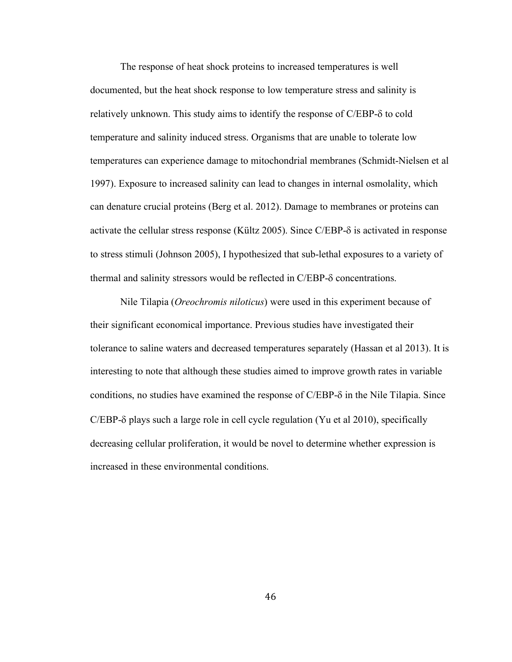The response of heat shock proteins to increased temperatures is well documented, but the heat shock response to low temperature stress and salinity is relatively unknown. This study aims to identify the response of C/EBP- $\delta$  to cold temperature and salinity induced stress. Organisms that are unable to tolerate low temperatures can experience damage to mitochondrial membranes (Schmidt-Nielsen et al 1997). Exposure to increased salinity can lead to changes in internal osmolality, which can denature crucial proteins (Berg et al. 2012). Damage to membranes or proteins can activate the cellular stress response (Kültz 2005). Since  $C/EBP-\delta$  is activated in response to stress stimuli (Johnson 2005), I hypothesized that sub-lethal exposures to a variety of thermal and salinity stressors would be reflected in  $C/EBP-\delta$  concentrations.

Nile Tilapia (*Oreochromis niloticus*) were used in this experiment because of their significant economical importance. Previous studies have investigated their tolerance to saline waters and decreased temperatures separately (Hassan et al 2013). It is interesting to note that although these studies aimed to improve growth rates in variable conditions, no studies have examined the response of  $C/EBP-\delta$  in the Nile Tilapia. Since  $C/EBP-\delta$  plays such a large role in cell cycle regulation (Yu et al 2010), specifically decreasing cellular proliferation, it would be novel to determine whether expression is increased in these environmental conditions.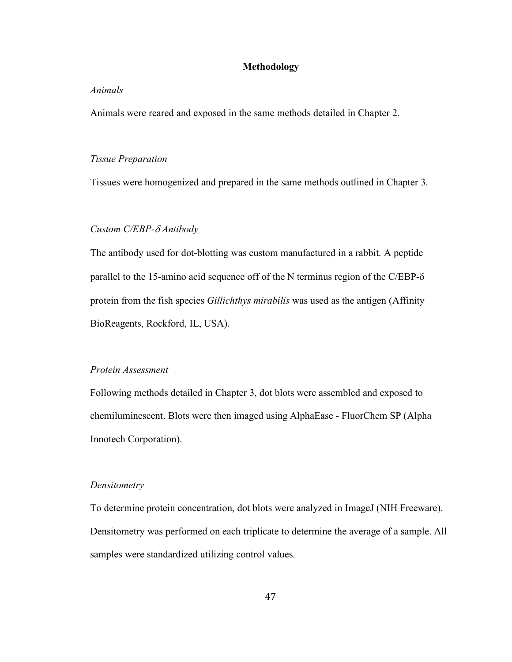# **Methodology**

## *Animals*

Animals were reared and exposed in the same methods detailed in Chapter 2.

#### *Tissue Preparation*

Tissues were homogenized and prepared in the same methods outlined in Chapter 3.

# *Custom C/EBP-*d *Antibody*

The antibody used for dot-blotting was custom manufactured in a rabbit. A peptide parallel to the 15-amino acid sequence off of the N terminus region of the C/EBP-d protein from the fish species *Gillichthys mirabilis* was used as the antigen (Affinity BioReagents, Rockford, IL, USA).

# *Protein Assessment*

Following methods detailed in Chapter 3, dot blots were assembled and exposed to chemiluminescent. Blots were then imaged using AlphaEase - FluorChem SP (Alpha Innotech Corporation).

### *Densitometry*

To determine protein concentration, dot blots were analyzed in ImageJ (NIH Freeware). Densitometry was performed on each triplicate to determine the average of a sample. All samples were standardized utilizing control values.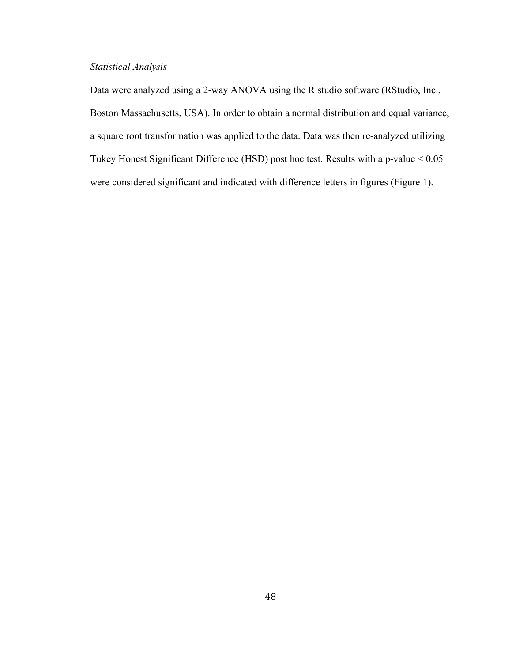# *Statistical Analysis*

Data were analyzed using a 2-way ANOVA using the R studio software (RStudio, Inc., Boston Massachusetts, USA). In order to obtain a normal distribution and equal variance, a square root transformation was applied to the data. Data was then re-analyzed utilizing Tukey Honest Significant Difference (HSD) post hoc test. Results with a p-value < 0.05 were considered significant and indicated with difference letters in figures (Figure 1).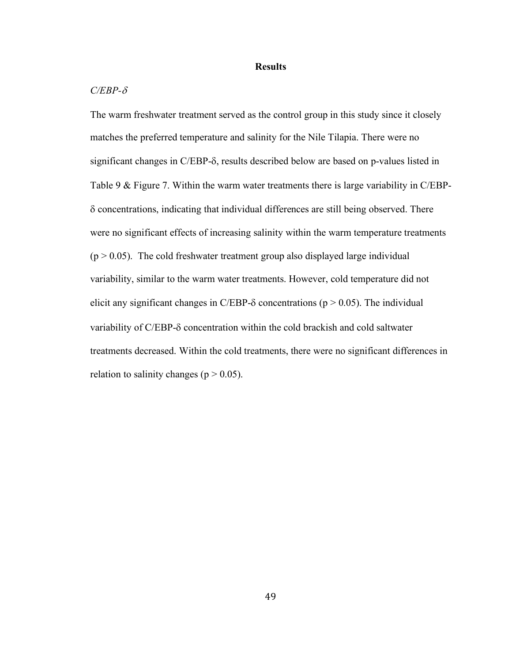#### **Results**

### $C/EBP-\delta$

The warm freshwater treatment served as the control group in this study since it closely matches the preferred temperature and salinity for the Nile Tilapia. There were no significant changes in C/EBP- $\delta$ , results described below are based on p-values listed in Table 9 & Figure 7. Within the warm water treatments there is large variability in C/EBP- $\delta$  concentrations, indicating that individual differences are still being observed. There were no significant effects of increasing salinity within the warm temperature treatments  $(p > 0.05)$ . The cold freshwater treatment group also displayed large individual variability, similar to the warm water treatments. However, cold temperature did not elicit any significant changes in C/EBP- $\delta$  concentrations (p > 0.05). The individual variability of C/EBP- $\delta$  concentration within the cold brackish and cold saltwater treatments decreased. Within the cold treatments, there were no significant differences in relation to salinity changes ( $p > 0.05$ ).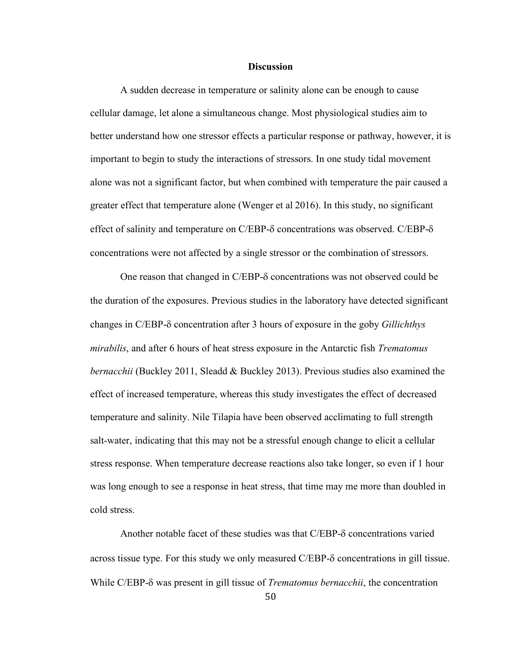#### **Discussion**

A sudden decrease in temperature or salinity alone can be enough to cause cellular damage, let alone a simultaneous change. Most physiological studies aim to better understand how one stressor effects a particular response or pathway, however, it is important to begin to study the interactions of stressors. In one study tidal movement alone was not a significant factor, but when combined with temperature the pair caused a greater effect that temperature alone (Wenger et al 2016). In this study, no significant effect of salinity and temperature on  $C/EBP-\delta$  concentrations was observed.  $C/EBP-\delta$ concentrations were not affected by a single stressor or the combination of stressors.

One reason that changed in C/EBP- $\delta$  concentrations was not observed could be the duration of the exposures. Previous studies in the laboratory have detected significant changes in C/EBP-d concentration after 3 hours of exposure in the goby *Gillichthys mirabilis*, and after 6 hours of heat stress exposure in the Antarctic fish *Trematomus bernacchii* (Buckley 2011, Sleadd & Buckley 2013). Previous studies also examined the effect of increased temperature, whereas this study investigates the effect of decreased temperature and salinity. Nile Tilapia have been observed acclimating to full strength salt-water, indicating that this may not be a stressful enough change to elicit a cellular stress response. When temperature decrease reactions also take longer, so even if 1 hour was long enough to see a response in heat stress, that time may me more than doubled in cold stress.

Another notable facet of these studies was that  $C/EBP-\delta$  concentrations varied across tissue type. For this study we only measured  $C/EBP-\delta$  concentrations in gill tissue. While C/EBP-d was present in gill tissue of *Trematomus bernacchii*, the concentration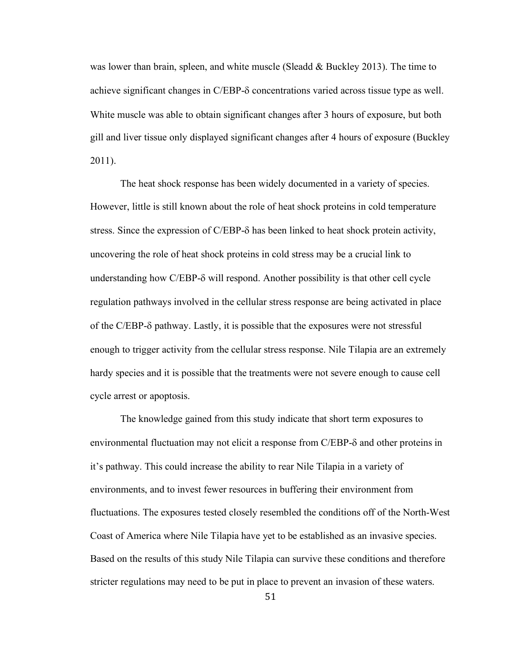was lower than brain, spleen, and white muscle (Sleadd & Buckley 2013). The time to achieve significant changes in  $C/EBP-\delta$  concentrations varied across tissue type as well. White muscle was able to obtain significant changes after 3 hours of exposure, but both gill and liver tissue only displayed significant changes after 4 hours of exposure (Buckley 2011).

The heat shock response has been widely documented in a variety of species. However, little is still known about the role of heat shock proteins in cold temperature stress. Since the expression of  $C/EBP-\delta$  has been linked to heat shock protein activity, uncovering the role of heat shock proteins in cold stress may be a crucial link to understanding how  $C/EBP-\delta$  will respond. Another possibility is that other cell cycle regulation pathways involved in the cellular stress response are being activated in place of the C/EBP- $\delta$  pathway. Lastly, it is possible that the exposures were not stressful enough to trigger activity from the cellular stress response. Nile Tilapia are an extremely hardy species and it is possible that the treatments were not severe enough to cause cell cycle arrest or apoptosis.

The knowledge gained from this study indicate that short term exposures to environmental fluctuation may not elicit a response from C/EBP- $\delta$  and other proteins in it's pathway. This could increase the ability to rear Nile Tilapia in a variety of environments, and to invest fewer resources in buffering their environment from fluctuations. The exposures tested closely resembled the conditions off of the North-West Coast of America where Nile Tilapia have yet to be established as an invasive species. Based on the results of this study Nile Tilapia can survive these conditions and therefore stricter regulations may need to be put in place to prevent an invasion of these waters.

51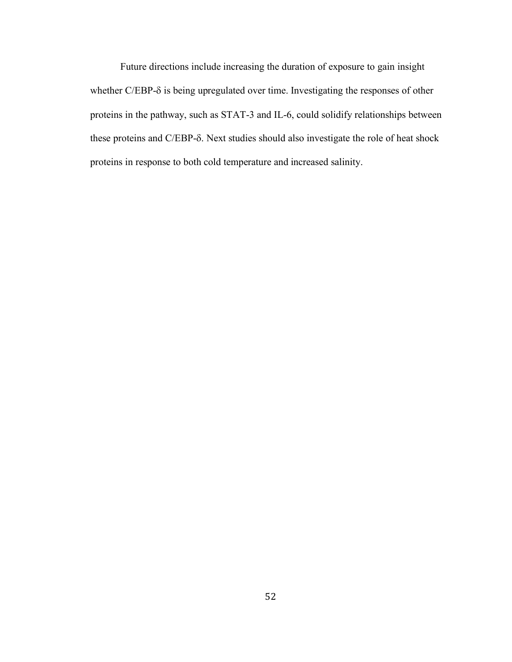Future directions include increasing the duration of exposure to gain insight whether C/EBP- $\delta$  is being upregulated over time. Investigating the responses of other proteins in the pathway, such as STAT-3 and IL-6, could solidify relationships between these proteins and C/EBP- $\delta$ . Next studies should also investigate the role of heat shock proteins in response to both cold temperature and increased salinity.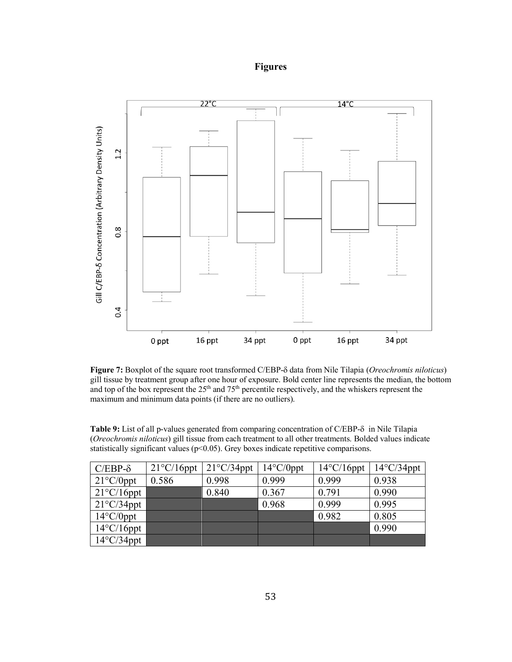# **Figures**



**Figure 7:** Boxplot of the square root transformed C/EBP-d data from Nile Tilapia (*Oreochromis niloticus*) gill tissue by treatment group after one hour of exposure. Bold center line represents the median, the bottom and top of the box represent the 25<sup>th</sup> and 75<sup>th</sup> percentile respectively, and the whiskers represent the maximum and minimum data points (if there are no outliers).

Table 9: List of all p-values generated from comparing concentration of C/EBP- $\delta$  in Nile Tilapia (*Oreochromis niloticus*) gill tissue from each treatment to all other treatments. Bolded values indicate statistically significant values ( $p<0.05$ ). Grey boxes indicate repetitive comparisons.

| $C/EBP-\delta$       | $21^{\circ}$ C/16ppt | $21^{\circ}$ C/34ppt | $14^{\circ}$ C/0ppt | $14^{\circ}$ C/16ppt | $14^{\circ}$ C/34ppt |
|----------------------|----------------------|----------------------|---------------------|----------------------|----------------------|
| $21^{\circ}C/0$ ppt  | 0.586                | 0.998                | 0.999               | 0.999                | 0.938                |
| $21^{\circ}$ C/16ppt |                      | 0.840                | 0.367               | 0.791                | 0.990                |
| $21^{\circ}$ C/34ppt |                      |                      | 0.968               | 0.999                | 0.995                |
| $14^{\circ}$ C/0ppt  |                      |                      |                     | 0.982                | 0.805                |
| $14^{\circ}$ C/16ppt |                      |                      |                     |                      | 0.990                |
| $14^{\circ}$ C/34ppt |                      |                      |                     |                      |                      |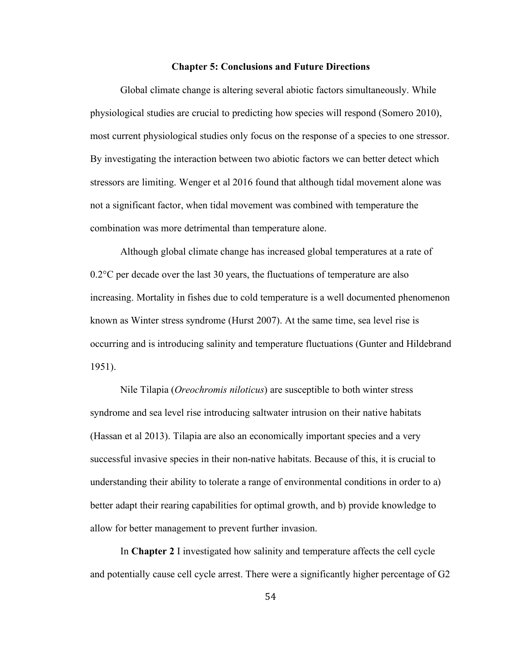## **Chapter 5: Conclusions and Future Directions**

Global climate change is altering several abiotic factors simultaneously. While physiological studies are crucial to predicting how species will respond (Somero 2010), most current physiological studies only focus on the response of a species to one stressor. By investigating the interaction between two abiotic factors we can better detect which stressors are limiting. Wenger et al 2016 found that although tidal movement alone was not a significant factor, when tidal movement was combined with temperature the combination was more detrimental than temperature alone.

Although global climate change has increased global temperatures at a rate of 0.2°C per decade over the last 30 years, the fluctuations of temperature are also increasing. Mortality in fishes due to cold temperature is a well documented phenomenon known as Winter stress syndrome (Hurst 2007). At the same time, sea level rise is occurring and is introducing salinity and temperature fluctuations (Gunter and Hildebrand 1951).

Nile Tilapia (*Oreochromis niloticus*) are susceptible to both winter stress syndrome and sea level rise introducing saltwater intrusion on their native habitats (Hassan et al 2013). Tilapia are also an economically important species and a very successful invasive species in their non-native habitats. Because of this, it is crucial to understanding their ability to tolerate a range of environmental conditions in order to a) better adapt their rearing capabilities for optimal growth, and b) provide knowledge to allow for better management to prevent further invasion.

In **Chapter 2** I investigated how salinity and temperature affects the cell cycle and potentially cause cell cycle arrest. There were a significantly higher percentage of G2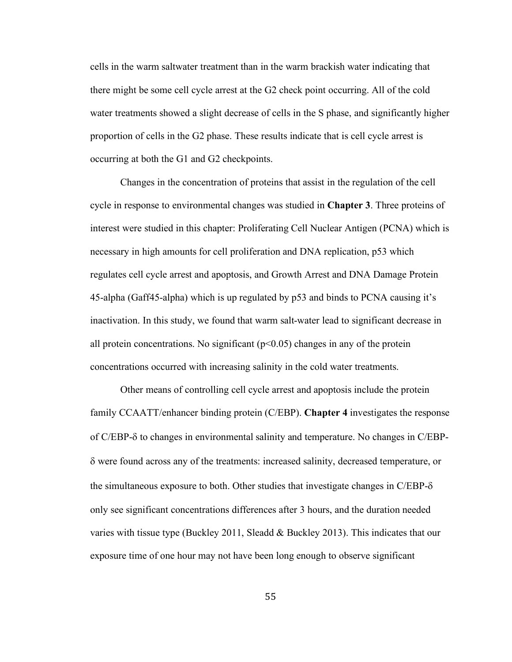cells in the warm saltwater treatment than in the warm brackish water indicating that there might be some cell cycle arrest at the G2 check point occurring. All of the cold water treatments showed a slight decrease of cells in the S phase, and significantly higher proportion of cells in the G2 phase. These results indicate that is cell cycle arrest is occurring at both the G1 and G2 checkpoints.

Changes in the concentration of proteins that assist in the regulation of the cell cycle in response to environmental changes was studied in **Chapter 3**. Three proteins of interest were studied in this chapter: Proliferating Cell Nuclear Antigen (PCNA) which is necessary in high amounts for cell proliferation and DNA replication, p53 which regulates cell cycle arrest and apoptosis, and Growth Arrest and DNA Damage Protein 45-alpha (Gaff45-alpha) which is up regulated by p53 and binds to PCNA causing it's inactivation. In this study, we found that warm salt-water lead to significant decrease in all protein concentrations. No significant  $(p<0.05)$  changes in any of the protein concentrations occurred with increasing salinity in the cold water treatments.

Other means of controlling cell cycle arrest and apoptosis include the protein family CCAATT/enhancer binding protein (C/EBP). **Chapter 4** investigates the response of C/EBP-d to changes in environmental salinity and temperature. No changes in C/EBP- $\delta$  were found across any of the treatments: increased salinity, decreased temperature, or the simultaneous exposure to both. Other studies that investigate changes in  $C/EBP-\delta$ only see significant concentrations differences after 3 hours, and the duration needed varies with tissue type (Buckley 2011, Sleadd & Buckley 2013). This indicates that our exposure time of one hour may not have been long enough to observe significant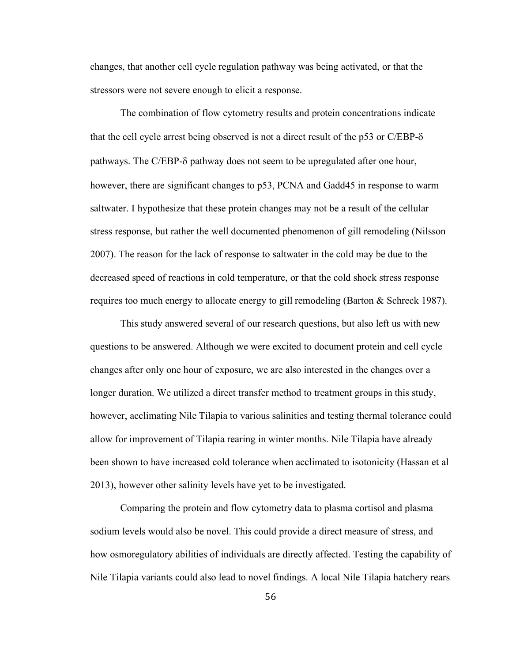changes, that another cell cycle regulation pathway was being activated, or that the stressors were not severe enough to elicit a response.

The combination of flow cytometry results and protein concentrations indicate that the cell cycle arrest being observed is not a direct result of the p53 or  $C/EBP-\delta$ pathways. The C/EBP-d pathway does not seem to be upregulated after one hour, however, there are significant changes to p53, PCNA and Gadd45 in response to warm saltwater. I hypothesize that these protein changes may not be a result of the cellular stress response, but rather the well documented phenomenon of gill remodeling (Nilsson 2007). The reason for the lack of response to saltwater in the cold may be due to the decreased speed of reactions in cold temperature, or that the cold shock stress response requires too much energy to allocate energy to gill remodeling (Barton & Schreck 1987).

This study answered several of our research questions, but also left us with new questions to be answered. Although we were excited to document protein and cell cycle changes after only one hour of exposure, we are also interested in the changes over a longer duration. We utilized a direct transfer method to treatment groups in this study, however, acclimating Nile Tilapia to various salinities and testing thermal tolerance could allow for improvement of Tilapia rearing in winter months. Nile Tilapia have already been shown to have increased cold tolerance when acclimated to isotonicity (Hassan et al 2013), however other salinity levels have yet to be investigated.

Comparing the protein and flow cytometry data to plasma cortisol and plasma sodium levels would also be novel. This could provide a direct measure of stress, and how osmoregulatory abilities of individuals are directly affected. Testing the capability of Nile Tilapia variants could also lead to novel findings. A local Nile Tilapia hatchery rears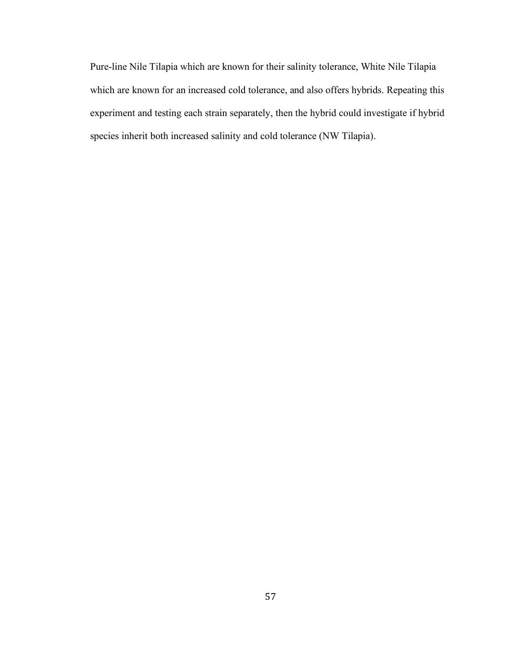Pure-line Nile Tilapia which are known for their salinity tolerance, White Nile Tilapia which are known for an increased cold tolerance, and also offers hybrids. Repeating this experiment and testing each strain separately, then the hybrid could investigate if hybrid species inherit both increased salinity and cold tolerance (NW Tilapia).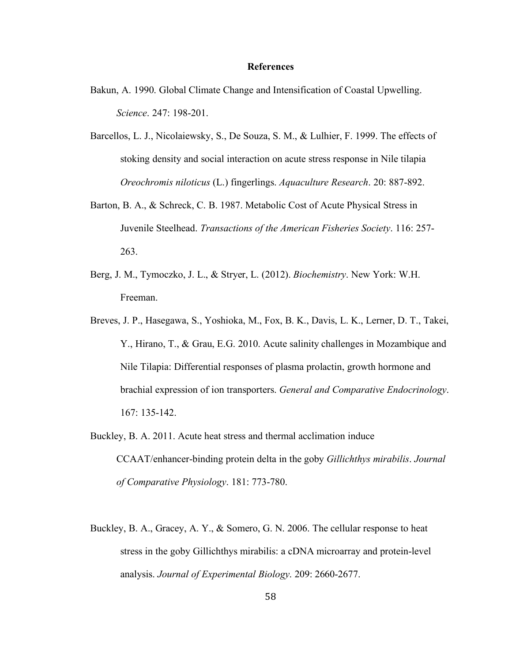## **References**

- Bakun, A. 1990. Global Climate Change and Intensification of Coastal Upwelling. *Science*. 247: 198-201.
- Barcellos, L. J., Nicolaiewsky, S., De Souza, S. M., & Lulhier, F. 1999. The effects of stoking density and social interaction on acute stress response in Nile tilapia *Oreochromis niloticus* (L.) fingerlings. *Aquaculture Research*. 20: 887-892.
- Barton, B. A., & Schreck, C. B. 1987. Metabolic Cost of Acute Physical Stress in Juvenile Steelhead. *Transactions of the American Fisheries Society*. 116: 257- 263.
- Berg, J. M., Tymoczko, J. L., & Stryer, L. (2012). *Biochemistry*. New York: W.H. Freeman.
- Breves, J. P., Hasegawa, S., Yoshioka, M., Fox, B. K., Davis, L. K., Lerner, D. T., Takei, Y., Hirano, T., & Grau, E.G. 2010. Acute salinity challenges in Mozambique and Nile Tilapia: Differential responses of plasma prolactin, growth hormone and brachial expression of ion transporters. *General and Comparative Endocrinology*. 167: 135-142.
- Buckley, B. A. 2011. Acute heat stress and thermal acclimation induce CCAAT/enhancer-binding protein delta in the goby *Gillichthys mirabilis*. *Journal of Comparative Physiology*. 181: 773-780.
- Buckley, B. A., Gracey, A. Y., & Somero, G. N. 2006. The cellular response to heat stress in the goby Gillichthys mirabilis: a cDNA microarray and protein-level analysis. *Journal of Experimental Biology*. 209: 2660-2677.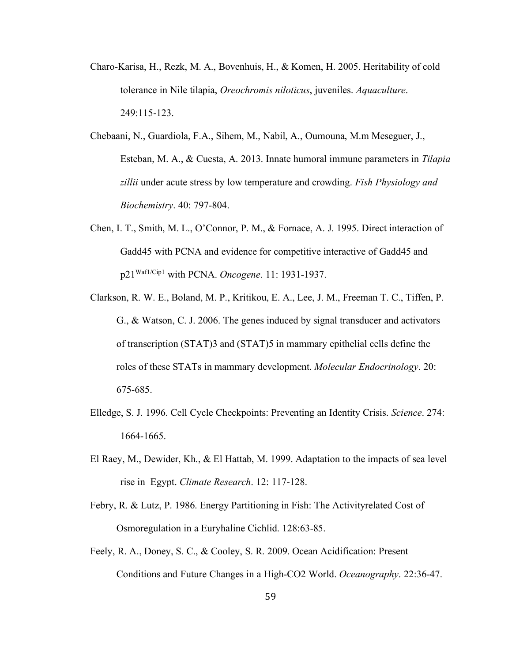- Charo-Karisa, H., Rezk, M. A., Bovenhuis, H., & Komen, H. 2005. Heritability of cold tolerance in Nile tilapia, *Oreochromis niloticus*, juveniles. *Aquaculture*. 249:115-123.
- Chebaani, N., Guardiola, F.A., Sihem, M., Nabil, A., Oumouna, M.m Meseguer, J., Esteban, M. A., & Cuesta, A. 2013. Innate humoral immune parameters in *Tilapia zillii* under acute stress by low temperature and crowding. *Fish Physiology and Biochemistry*. 40: 797-804.
- Chen, I. T., Smith, M. L., O'Connor, P. M., & Fornace, A. J. 1995. Direct interaction of Gadd45 with PCNA and evidence for competitive interactive of Gadd45 and p21Waf1/Cip1 with PCNA. *Oncogene*. 11: 1931-1937.
- Clarkson, R. W. E., Boland, M. P., Kritikou, E. A., Lee, J. M., Freeman T. C., Tiffen, P. G., & Watson, C. J. 2006. The genes induced by signal transducer and activators of transcription (STAT)3 and (STAT)5 in mammary epithelial cells define the roles of these STATs in mammary development. *Molecular Endocrinology*. 20: 675-685.
- Elledge, S. J. 1996. Cell Cycle Checkpoints: Preventing an Identity Crisis. *Science*. 274: 1664-1665.
- El Raey, M., Dewider, Kh., & El Hattab, M. 1999. Adaptation to the impacts of sea level rise in Egypt. *Climate Research*. 12: 117-128.
- Febry, R. & Lutz, P. 1986. Energy Partitioning in Fish: The Activityrelated Cost of Osmoregulation in a Euryhaline Cichlid. 128:63-85.
- Feely, R. A., Doney, S. C., & Cooley, S. R. 2009. Ocean Acidification: Present Conditions and Future Changes in a High-CO2 World. *Oceanography*. 22:36-47.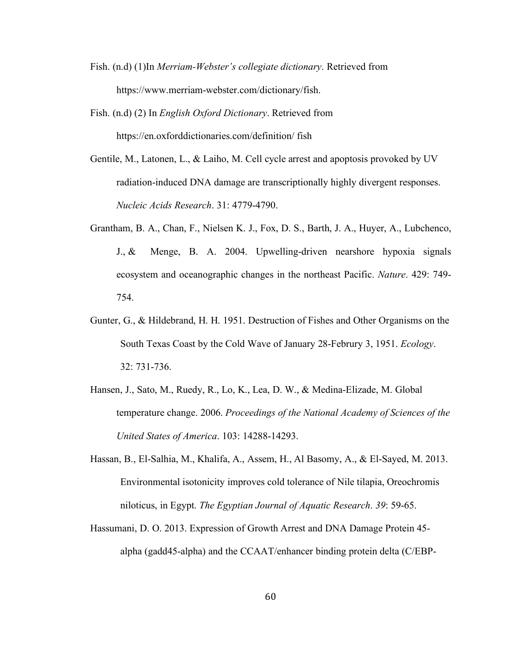- Fish. (n.d) (1)In *Merriam-Webster's collegiate dictionary*. Retrieved from https://www.merriam-webster.com/dictionary/fish.
- Fish. (n.d) (2) In *English Oxford Dictionary*. Retrieved from https://en.oxforddictionaries.com/definition/ fish
- Gentile, M., Latonen, L., & Laiho, M. Cell cycle arrest and apoptosis provoked by UV radiation-induced DNA damage are transcriptionally highly divergent responses. *Nucleic Acids Research*. 31: 4779-4790.
- Grantham, B. A., Chan, F., Nielsen K. J., Fox, D. S., Barth, J. A., Huyer, A., Lubchenco, J., & Menge, B. A. 2004. Upwelling-driven nearshore hypoxia signals ecosystem and oceanographic changes in the northeast Pacific. *Nature*. 429: 749- 754.
- Gunter, G., & Hildebrand, H. H. 1951. Destruction of Fishes and Other Organisms on the South Texas Coast by the Cold Wave of January 28-Februry 3, 1951. *Ecology*. 32: 731-736.
- Hansen, J., Sato, M., Ruedy, R., Lo, K., Lea, D. W., & Medina-Elizade, M. Global temperature change. 2006. *Proceedings of the National Academy of Sciences of the United States of America*. 103: 14288-14293.
- Hassan, B., El-Salhia, M., Khalifa, A., Assem, H., Al Basomy, A., & El-Sayed, M. 2013. Environmental isotonicity improves cold tolerance of Nile tilapia, Oreochromis niloticus, in Egypt. *The Egyptian Journal of Aquatic Research*. *39*: 59-65.
- Hassumani, D. O. 2013. Expression of Growth Arrest and DNA Damage Protein 45 alpha (gadd45-alpha) and the CCAAT/enhancer binding protein delta (C/EBP-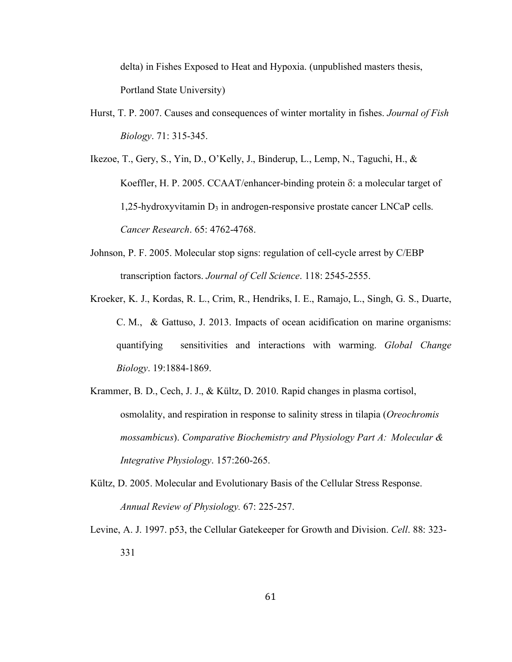delta) in Fishes Exposed to Heat and Hypoxia. (unpublished masters thesis, Portland State University)

Hurst, T. P. 2007. Causes and consequences of winter mortality in fishes. *Journal of Fish Biology*. 71: 315-345.

Ikezoe, T., Gery, S., Yin, D., O'Kelly, J., Binderup, L., Lemp, N., Taguchi, H., & Koeffler, H. P. 2005. CCAAT/enhancer-binding protein  $\delta$ : a molecular target of 1,25-hydroxyvitamin D3 in androgen-responsive prostate cancer LNCaP cells. *Cancer Research*. 65: 4762-4768.

- Johnson, P. F. 2005. Molecular stop signs: regulation of cell-cycle arrest by C/EBP transcription factors. *Journal of Cell Science*. 118: 2545-2555.
- Kroeker, K. J., Kordas, R. L., Crim, R., Hendriks, I. E., Ramajo, L., Singh, G. S., Duarte, C. M., & Gattuso, J. 2013. Impacts of ocean acidification on marine organisms: quantifying sensitivities and interactions with warming. *Global Change Biology*. 19:1884-1869.
- Krammer, B. D., Cech, J. J., & Kültz, D. 2010. Rapid changes in plasma cortisol, osmolality, and respiration in response to salinity stress in tilapia (*Oreochromis mossambicus*). *Comparative Biochemistry and Physiology Part A: Molecular & Integrative Physiology*. 157:260-265.
- Kültz, D. 2005. Molecular and Evolutionary Basis of the Cellular Stress Response. *Annual Review of Physiology.* 67: 225-257.
- Levine, A. J. 1997. p53, the Cellular Gatekeeper for Growth and Division. *Cell*. 88: 323- 331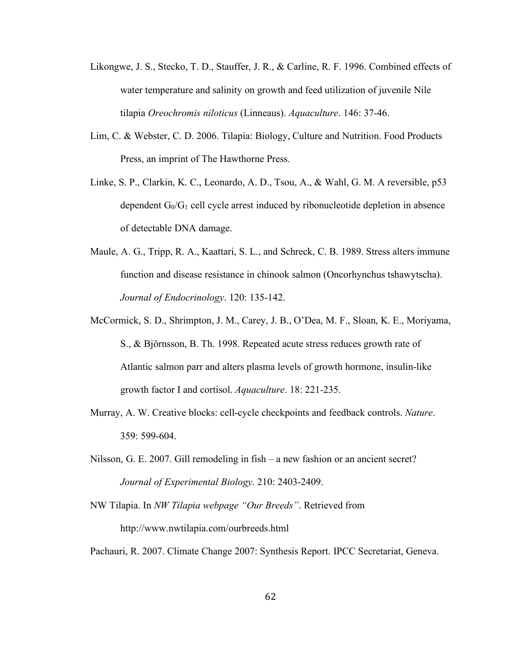- Likongwe, J. S., Stecko, T. D., Stauffer, J. R., & Carline, R. F. 1996. Combined effects of water temperature and salinity on growth and feed utilization of juvenile Nile tilapia *Oreochromis niloticus* (Linneaus). *Aquaculture*. 146: 37-46.
- Lim, C. & Webster, C. D. 2006. Tilapia: Biology, Culture and Nutrition. Food Products Press, an imprint of The Hawthorne Press.
- Linke, S. P., Clarkin, K. C., Leonardo, A. D., Tsou, A., & Wahl, G. M. A reversible, p53 dependent  $G_0/G_1$  cell cycle arrest induced by ribonucleotide depletion in absence of detectable DNA damage.
- Maule, A. G., Tripp, R. A., Kaattari, S. L., and Schreck, C. B. 1989. Stress alters immune function and disease resistance in chinook salmon (Oncorhynchus tshawytscha). *Journal of Endocrinology*. 120: 135-142.
- McCormick, S. D., Shrimpton, J. M., Carey, J. B., O'Dea, M. F., Sloan, K. E., Moriyama, S., & Björnsson, B. Th. 1998. Repeated acute stress reduces growth rate of Atlantic salmon parr and alters plasma levels of growth hormone, insulin-like growth factor I and cortisol. *Aquaculture*. 18: 221-235.
- Murray, A. W. Creative blocks: cell-cycle checkpoints and feedback controls. *Nature*. 359: 599-604.
- Nilsson, G. E. 2007. Gill remodeling in fish a new fashion or an ancient secret? *Journal of Experimental Biology*. 210: 2403-2409.
- NW Tilapia. In *NW Tilapia webpage "Our Breeds"*. Retrieved from http://www.nwtilapia.com/ourbreeds.html

Pachauri, R. 2007. Climate Change 2007: Synthesis Report. IPCC Secretariat, Geneva.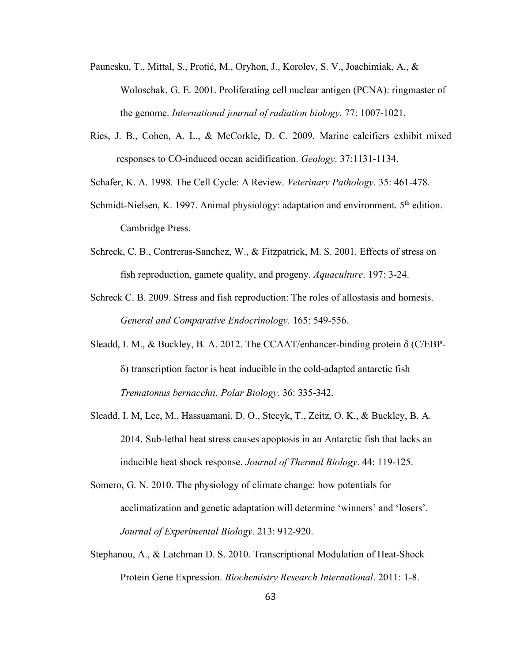- Paunesku, T., Mittal, S., Protić, M., Oryhon, J., Korolev, S. V., Joachimiak, A., & Woloschak, G. E. 2001. Proliferating cell nuclear antigen (PCNA): ringmaster of the genome. *International journal of radiation biology*. 77: 1007-1021.
- Ries, J. B., Cohen, A. L., & McCorkle, D. C. 2009. Marine calcifiers exhibit mixed responses to CO-induced ocean acidification. *Geology*. 37:1131-1134.

Schafer, K. A. 1998. The Cell Cycle: A Review. *Veterinary Pathology*. 35: 461-478.

- Schmidt-Nielsen, K. 1997. Animal physiology: adaptation and environment. 5<sup>th</sup> edition. Cambridge Press.
- Schreck, C. B., Contreras-Sanchez, W., & Fitzpatrick, M. S. 2001. Effects of stress on fish reproduction, gamete quality, and progeny. *Aquaculture*. 197: 3-24.
- Schreck C. B. 2009. Stress and fish reproduction: The roles of allostasis and homesis. *General and Comparative Endocrinology*. 165: 549-556.
- Sleadd, I. M., & Buckley, B. A. 2012. The CCAAT/enhancer-binding protein  $\delta$  (C/EBP- $\delta$ ) transcription factor is heat inducible in the cold-adapted antarctic fish *Trematomus bernacchii*. *Polar Biology*. 36: 335-342.
- Sleadd, I. M, Lee, M., Hassuamani, D. O., Stecyk, T., Zeitz, O. K., & Buckley, B. A. 2014. Sub-lethal heat stress causes apoptosis in an Antarctic fish that lacks an inducible heat shock response. *Journal of Thermal Biology*. 44: 119-125.
- Somero, G. N. 2010. The physiology of climate change: how potentials for acclimatization and genetic adaptation will determine 'winners' and 'losers'. *Journal of Experimental Biology*. 213: 912-920.
- Stephanou, A., & Latchman D. S. 2010. Transcriptional Modulation of Heat-Shock Protein Gene Expression. *Biochemistry Research International*. 2011: 1-8.